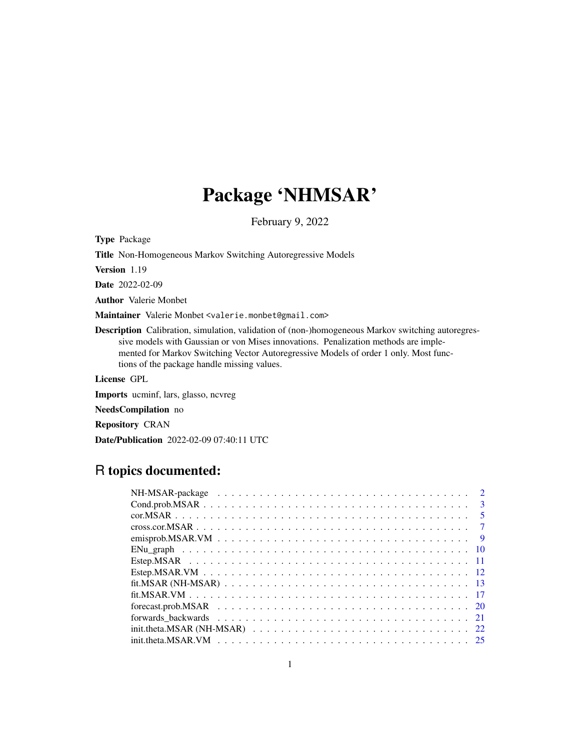# Package 'NHMSAR'

February 9, 2022

Type Package

Title Non-Homogeneous Markov Switching Autoregressive Models

Version 1.19

Date 2022-02-09

Author Valerie Monbet

Maintainer Valerie Monbet <valerie.monbet@gmail.com>

Description Calibration, simulation, validation of (non-)homogeneous Markov switching autoregressive models with Gaussian or von Mises innovations. Penalization methods are implemented for Markov Switching Vector Autoregressive Models of order 1 only. Most functions of the package handle missing values.

License GPL

Imports ucminf, lars, glasso, ncvreg

NeedsCompilation no

Repository CRAN

Date/Publication 2022-02-09 07:40:11 UTC

# R topics documented: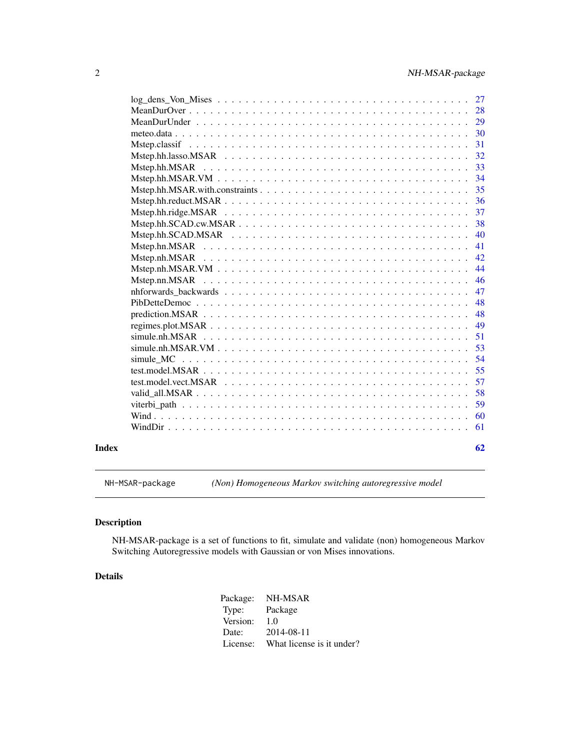<span id="page-1-0"></span>

| Index |                     | 62 |
|-------|---------------------|----|
|       |                     | 61 |
|       |                     | 60 |
|       |                     | 59 |
|       |                     | 58 |
|       |                     | 57 |
|       |                     | 55 |
|       | simule MC           | 54 |
|       | $simule.nh.MSAR.VM$ | 53 |
|       |                     | 51 |
|       |                     | 49 |
|       |                     | 48 |
|       |                     | 48 |
|       |                     | 47 |
|       | Mstep.nn.MSAR       | 46 |
|       |                     | 44 |
|       | Mstep.nh.MSAR       | 42 |
|       |                     | 41 |
|       |                     | 40 |
|       |                     | 38 |
|       |                     | 37 |
|       |                     | 36 |
|       |                     | 35 |
|       |                     | 34 |
|       | Mstep.hh.MSAR       | 33 |
|       |                     | 32 |
|       |                     | 31 |
|       |                     | 30 |
|       |                     | 29 |
|       |                     | 28 |
|       |                     | 27 |

NH-MSAR-package *(Non) Homogeneous Markov switching autoregressive model*

# Description

NH-MSAR-package is a set of functions to fit, simulate and validate (non) homogeneous Markov Switching Autoregressive models with Gaussian or von Mises innovations.

# Details

| Package: | NH-MSAR                   |
|----------|---------------------------|
| Type:    | Package                   |
| Version: | 1.0                       |
| Date:    | 2014-08-11                |
| License: | What license is it under? |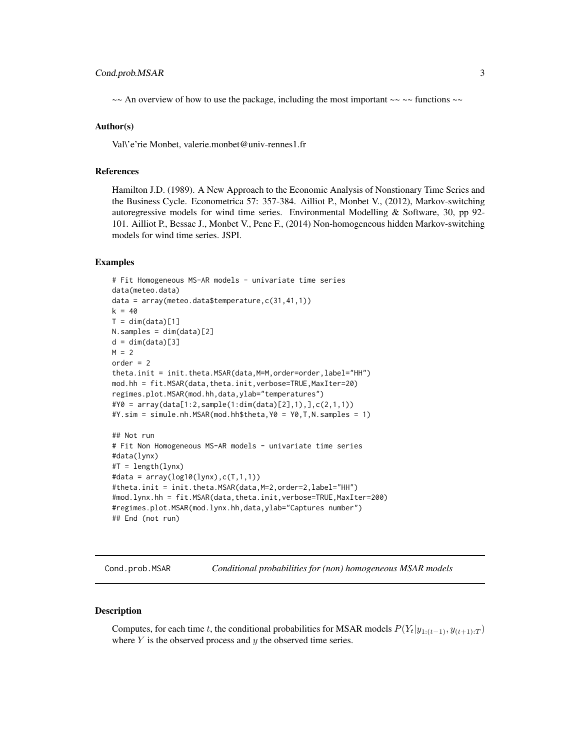# <span id="page-2-0"></span>Cond.prob.MSAR 3

 $\sim$  An overview of how to use the package, including the most important  $\sim \sim \sim$  functions  $\sim \sim$ 

#### Author(s)

Val\'e'rie Monbet, valerie.monbet@univ-rennes1.fr

#### References

Hamilton J.D. (1989). A New Approach to the Economic Analysis of Nonstionary Time Series and the Business Cycle. Econometrica 57: 357-384. Ailliot P., Monbet V., (2012), Markov-switching autoregressive models for wind time series. Environmental Modelling & Software, 30, pp 92- 101. Ailliot P., Bessac J., Monbet V., Pene F., (2014) Non-homogeneous hidden Markov-switching models for wind time series. JSPI.

#### Examples

```
# Fit Homogeneous MS-AR models - univariate time series
data(meteo.data)
data = array(meteo.data$temperature,c(31,41,1))
k = 40T = dim(data)[1]N.samples = dim(data)[2]
d = dim(data)[3]M = 2order = 2theta.init = init.theta.MSAR(data,M=M,order=order,label="HH")
mod.hh = fit.MSAR(data,theta.init,verbose=TRUE,MaxIter=20)
regimes.plot.MSAR(mod.hh,data,ylab="temperatures")
#Y0 = array(data[1:2,sample(1:dim(data)[2],1),],c(2,1,1))
#Y.sim = simule.nh.MSAR(mod.hh$theta,Y0 = Y0,T,N.samples = 1)
## Not run
# Fit Non Homogeneous MS-AR models - univariate time series
#data(lynx)
#T = length(lynx)
#data = array(log10(lynx),c(T,1,1))
#theta.init = init.theta.MSAR(data,M=2,order=2,label="HH")
#mod.lynx.hh = fit.MSAR(data,theta.init,verbose=TRUE,MaxIter=200)
#regimes.plot.MSAR(mod.lynx.hh,data,ylab="Captures number")
## End (not run)
```
Cond.prob.MSAR *Conditional probabilities for (non) homogeneous MSAR models*

#### Description

Computes, for each time t, the conditional probabilities for MSAR models  $P(Y_t|y_{1:(t-1)}, y_{(t+1):T})$ where  $Y$  is the observed process and  $y$  the observed time series.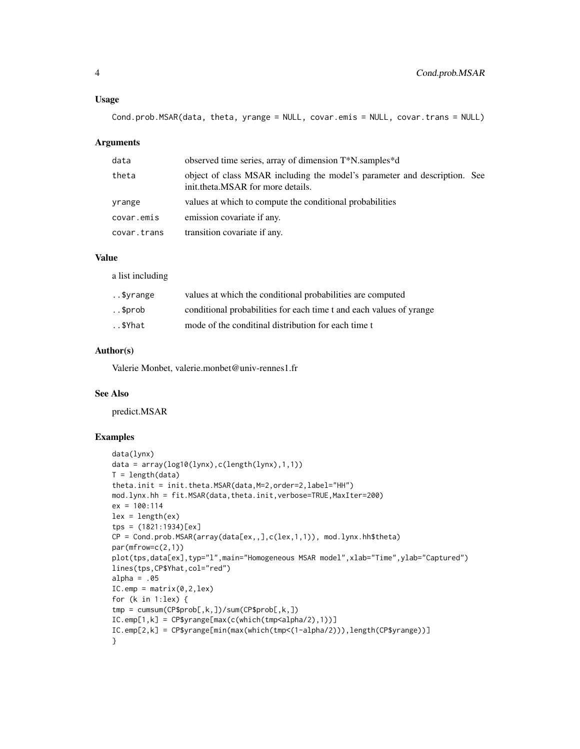#### Usage

```
Cond.prob.MSAR(data, theta, yrange = NULL, covar.emis = NULL, covar.trans = NULL)
```
#### **Arguments**

| data        | observed time series, array of dimension T*N.samples*d                                                         |  |
|-------------|----------------------------------------------------------------------------------------------------------------|--|
| theta       | object of class MSAR including the model's parameter and description. See<br>init.theta.MSAR for more details. |  |
| yrange      | values at which to compute the conditional probabilities                                                       |  |
| covar.emis  | emission covariate if any.                                                                                     |  |
| covar.trans | transition covariate if any.                                                                                   |  |

#### Value

a list including

| \$vrange | values at which the conditional probabilities are computed          |
|----------|---------------------------------------------------------------------|
| \$prob.  | conditional probabilities for each time t and each values of yrange |
| \$Yhat   | mode of the conditinal distribution for each time t                 |

#### Author(s)

Valerie Monbet, valerie.monbet@univ-rennes1.fr

#### See Also

predict.MSAR

# Examples

```
data(lynx)
data = array(log10(lynx),c(length(lynx),1,1))
T = length(data)theta.init = init.theta.MSAR(data, M=2, order=2, label="HH")
mod.lynx.hh = fit.MSAR(data,theta.init,verbose=TRUE,MaxIter=200)
ex = 100:114
lex = length(ex)tps = (1821:1934)[ex]
CP = Cond.prob.MSAR(array(data[ex,,],c(lex,1,1)), mod.lynx.hh$theta)
par(mfrow=c(2,1))
plot(tps,data[ex],typ="l",main="Homogeneous MSAR model",xlab="Time",ylab="Captured")
lines(tps,CP$Yhat,col="red")
alpha = .05IC.emp = matrix(0, 2, lex)for (k in 1:lex) {
tmp = cumsum(CP$prob[,k,])/sum(CP$prob[,k,])
IC.emp[1,k] = CP$yrange[max(c(which(tmp<alpha/2),1))]
IC.emp[2,k] = CP$yrange[min(max(which(tmp<(1-alpha/2))),length(CP$yrange))]
}
```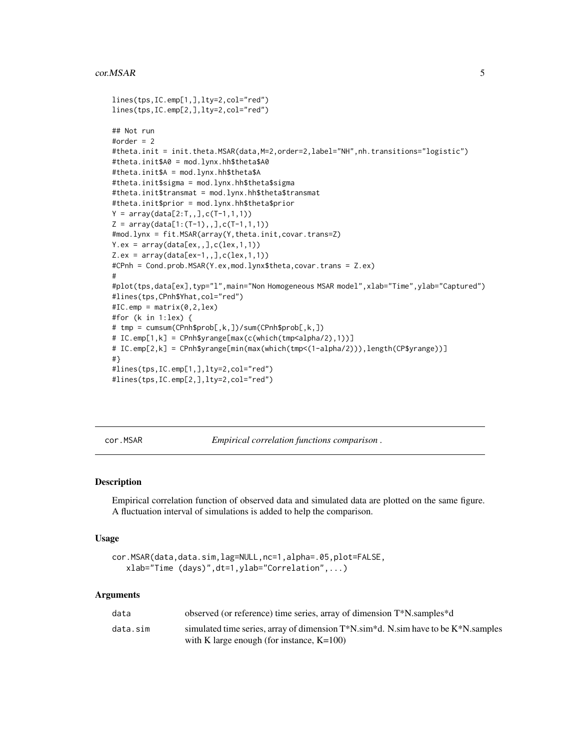#### <span id="page-4-0"></span>cor. MSAR 5

```
lines(tps,IC.emp[1,],lty=2,col="red")
lines(tps,IC.emp[2,],lty=2,col="red")
## Not run
#order = 2
#theta.init = init.theta.MSAR(data,M=2,order=2,label="NH",nh.transitions="logistic")
#theta.init$A0 = mod.lynx.hh$theta$A0
#theta.init$A = mod.lynx.hh$theta$A
#theta.init$sigma = mod.lynx.hh$theta$sigma
#theta.init$transmat = mod.lynx.hh$theta$transmat
#theta.init$prior = mod.lynx.hh$theta$prior
Y = array(data[2:T, 1, 0; C(T-1, 1, 1))Z = array(data[1:(T-1),], C(T-1,1,1))#mod.lynx = fit.MSAR(array(Y,theta.init,covar.trans=Z)
Y.ex = array(data[ex, 1, 0, c(lex, 1, 1))Z.ex = array(data[ex-1, 1, c(lex, 1, 1))#CPnh = Cond.prob.MSAR(Y.ex,mod.lynx$theta,covar.trans = Z.ex)
#
#plot(tps,data[ex],typ="l",main="Non Homogeneous MSAR model",xlab="Time",ylab="Captured")
#lines(tps,CPnh$Yhat,col="red")
#IC.emp = matrix(0,2,lex)
#for (k in 1:lex) {
# tmp = cumsum(CPnh$prob[,k,])/sum(CPnh$prob[,k,])
# IC.emp[1,k] = CPnh$yrange[max(c(which(tmp<alpha/2),1))]
# IC.emp[2,k] = CPnh$yrange[min(max(which(tmp<(1-alpha/2))),length(CP$yrange))]
#}
#lines(tps,IC.emp[1,],lty=2,col="red")
#lines(tps,IC.emp[2,],lty=2,col="red")
```
cor.MSAR *Empirical correlation functions comparison .*

#### Description

Empirical correlation function of observed data and simulated data are plotted on the same figure. A fluctuation interval of simulations is added to help the comparison.

#### Usage

```
cor.MSAR(data,data.sim,lag=NULL,nc=1,alpha=.05,plot=FALSE,
   xlab="Time (days)",dt=1,ylab="Correlation",...)
```
#### **Arguments**

| data     | observed (or reference) time series, array of dimension $T^*N$ samples $d$                        |
|----------|---------------------------------------------------------------------------------------------------|
| data.sim | simulated time series, array of dimension $T^*N$ .sim $\ddot{a}$ N.sim have to be $K^*N$ .samples |
|          | with K large enough (for instance, $K=100$ )                                                      |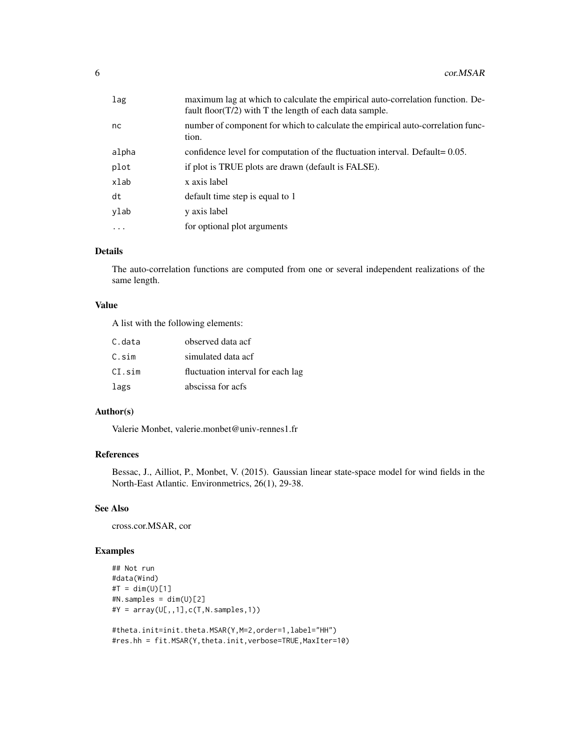| lag        | maximum lag at which to calculate the empirical auto-correlation function. De-<br>fault floor( $T/2$ ) with T the length of each data sample. |
|------------|-----------------------------------------------------------------------------------------------------------------------------------------------|
| nc         | number of component for which to calculate the empirical auto-correlation func-<br>tion.                                                      |
| alpha      | confidence level for computation of the fluctuation interval. Default= 0.05.                                                                  |
| plot       | if plot is TRUE plots are drawn (default is FALSE).                                                                                           |
| xlab       | x axis label                                                                                                                                  |
| dt         | default time step is equal to 1                                                                                                               |
| ylab       | y axis label                                                                                                                                  |
| $\ddots$ . | for optional plot arguments                                                                                                                   |
|            |                                                                                                                                               |

# Details

The auto-correlation functions are computed from one or several independent realizations of the same length.

#### Value

A list with the following elements:

| C.data | observed data acf                 |
|--------|-----------------------------------|
| C.sim  | simulated data acf                |
| CI.sim | fluctuation interval for each lag |
| lags   | abscissa for acfs                 |

# Author(s)

Valerie Monbet, valerie.monbet@univ-rennes1.fr

# References

Bessac, J., Ailliot, P., Monbet, V. (2015). Gaussian linear state-space model for wind fields in the North-East Atlantic. Environmetrics, 26(1), 29-38.

# See Also

cross.cor.MSAR, cor

# Examples

```
## Not run
#data(Wind)
#T = dim(U)[1]#N. samples = dim(U)[2]#Y = array(U[,, 1], c(T, N.samples, 1))
```

```
#theta.init=init.theta.MSAR(Y,M=2,order=1,label="HH")
#res.hh = fit.MSAR(Y,theta.init,verbose=TRUE,MaxIter=10)
```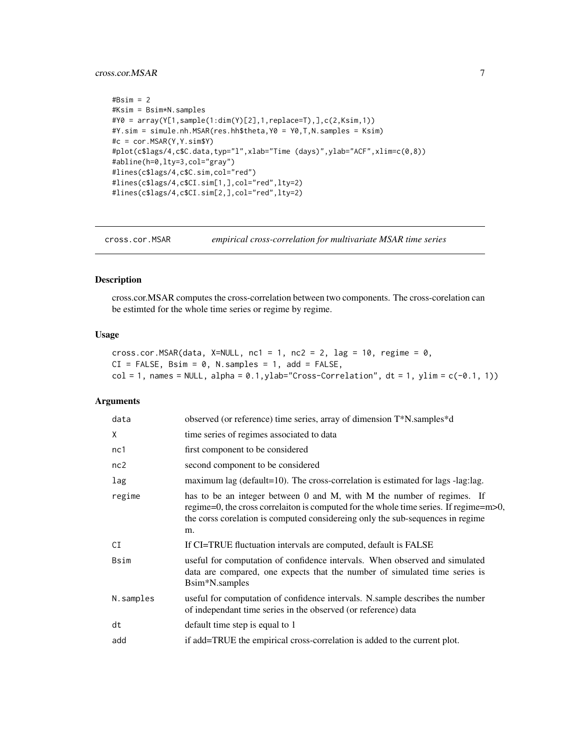### <span id="page-6-0"></span>cross.cor.MSAR 7

```
#Bsim = 2
#Ksim = Bsim*N.samples
#Y0 = array(Y[1,sample(1:dim(Y)[2],1,replace=T),],c(2,Ksim,1))
#Y.sim = simule.nh.MSAR(res.hh$theta,Y0 = Y0,T,N.samples = Ksim)
#c = cor.MSAR(Y,Y.sim$Y)
#plot(c$lags/4,c$C.data,typ="l",xlab="Time (days)",ylab="ACF",xlim=c(0,8))
#abline(h=0,lty=3,col="gray")
#lines(c$lags/4,c$C.sim,col="red")
#lines(c$lags/4,c$CI.sim[1,],col="red",lty=2)
#lines(c$lags/4,c$CI.sim[2,],col="red",lty=2)
```
cross.cor.MSAR *empirical cross-correlation for multivariate MSAR time series*

# Description

cross.cor.MSAR computes the cross-correlation between two components. The cross-corelation can be estimted for the whole time series or regime by regime.

#### Usage

```
cross.cor.MSAR(data, X=NULL, nc1 = 1, nc2 = 2, lag = 10, regime = 0,
CI = FALSE, Bsim = 0, N.samples = 1, add = FALSE,col = 1, names = NULL, alpha = 0.1, ylab="Cross-Correlation", dt = 1, ylim = c(-0.1, 1))
```
#### Arguments

| data        | observed (or reference) time series, array of dimension T*N.samples*d                                                                                                                                                                                          |
|-------------|----------------------------------------------------------------------------------------------------------------------------------------------------------------------------------------------------------------------------------------------------------------|
| X           | time series of regimes associated to data                                                                                                                                                                                                                      |
| nc1         | first component to be considered                                                                                                                                                                                                                               |
| nc2         | second component to be considered                                                                                                                                                                                                                              |
| lag         | maximum lag ( $\text{default}=10$ ). The cross-correlation is estimated for lags -lag:lag.                                                                                                                                                                     |
| regime      | has to be an integer between 0 and M, with M the number of regimes. If<br>regime=0, the cross correlation is computed for the whole time series. If regime= $m$ $> 0$ ,<br>the corss corelation is computed considering only the sub-sequences in regime<br>m. |
| CI          | If CI=TRUE fluctuation intervals are computed, default is FALSE                                                                                                                                                                                                |
| <b>Bsim</b> | useful for computation of confidence intervals. When observed and simulated<br>data are compared, one expects that the number of simulated time series is<br>Bsim*N.samples                                                                                    |
| N.samples   | useful for computation of confidence intervals. N.sample describes the number<br>of independant time series in the observed (or reference) data                                                                                                                |
| dt          | default time step is equal to 1                                                                                                                                                                                                                                |
| add         | if add=TRUE the empirical cross-correlation is added to the current plot.                                                                                                                                                                                      |
|             |                                                                                                                                                                                                                                                                |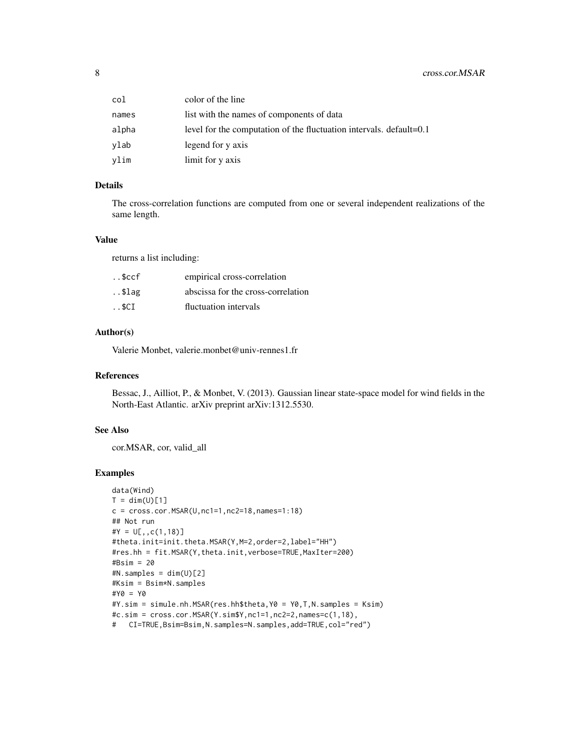| col   | color of the line                                                   |
|-------|---------------------------------------------------------------------|
| names | list with the names of components of data                           |
| alpha | level for the computation of the fluctuation intervals. default=0.1 |
| vlab  | legend for y axis                                                   |
| vlim  | limit for y axis                                                    |

# Details

The cross-correlation functions are computed from one or several independent realizations of the same length.

#### Value

returns a list including:

| empirical cross-correlation        |
|------------------------------------|
| abscissa for the cross-correlation |
| fluctuation intervals              |
|                                    |

# Author(s)

Valerie Monbet, valerie.monbet@univ-rennes1.fr

#### References

Bessac, J., Ailliot, P., & Monbet, V. (2013). Gaussian linear state-space model for wind fields in the North-East Atlantic. arXiv preprint arXiv:1312.5530.

#### See Also

cor.MSAR, cor, valid\_all

# Examples

```
data(Wind)
T = dim(U)[1]c = cross.cor.MSAR(U,nc1=1,nc2=18,names=1:18)## Not run
#Y = U[, C(1, 18)]#theta.init=init.theta.MSAR(Y,M=2,order=2,label="HH")
#res.hh = fit.MSAR(Y,theta.init,verbose=TRUE,MaxIter=200)
#Bsim = 20
#N. samples = dim(U)[2]#Ksim = Bsim*N.samples
#Y0 = Y0
#Y.sim = simule.nh.MSAR(res.hh$theta,Y0 = Y0,T,N.samples = Ksim)
#c.sim = cross.cor.MSAR(Y.sim$Y,nc1=1,nc2=2,names=c(1,18),
# CI=TRUE,Bsim=Bsim,N.samples=N.samples,add=TRUE,col="red")
```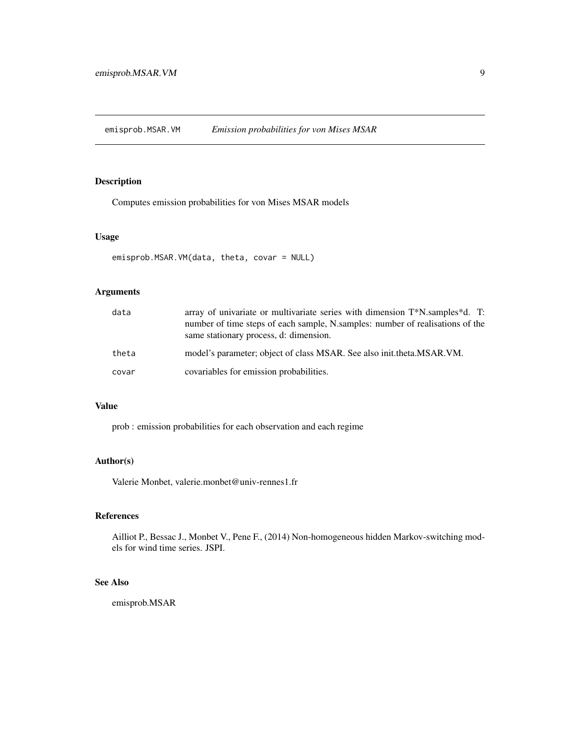<span id="page-8-0"></span>emisprob.MSAR.VM *Emission probabilities for von Mises MSAR*

# Description

Computes emission probabilities for von Mises MSAR models

#### Usage

```
emisprob.MSAR.VM(data, theta, covar = NULL)
```
# Arguments

| data  | array of univariate or multivariate series with dimension $T^*N$ .samples d. T:<br>number of time steps of each sample, N.samples: number of realisations of the<br>same stationary process, d: dimension. |
|-------|------------------------------------------------------------------------------------------------------------------------------------------------------------------------------------------------------------|
| theta | model's parameter; object of class MSAR. See also init. theta. MSAR. VM.                                                                                                                                   |
| covar | covariables for emission probabilities.                                                                                                                                                                    |

# Value

prob : emission probabilities for each observation and each regime

# Author(s)

Valerie Monbet, valerie.monbet@univ-rennes1.fr

# References

Ailliot P., Bessac J., Monbet V., Pene F., (2014) Non-homogeneous hidden Markov-switching models for wind time series. JSPI.

#### See Also

emisprob.MSAR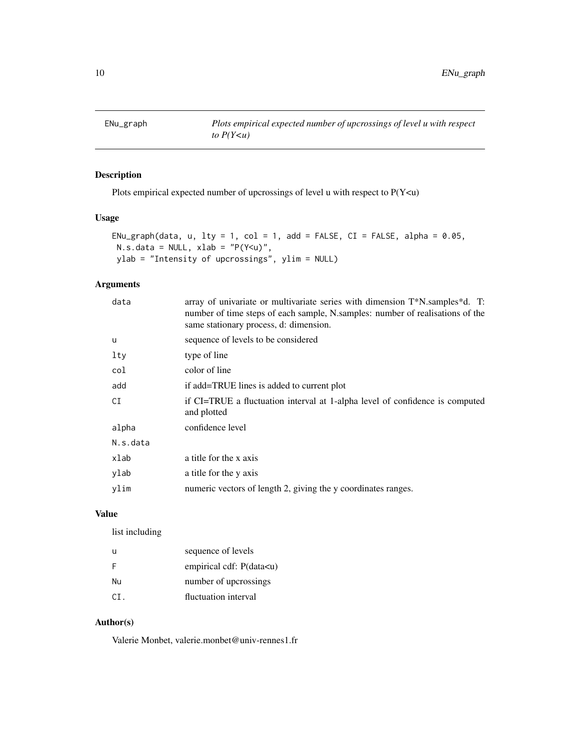<span id="page-9-0"></span>

# Description

Plots empirical expected number of upcrossings of level u with respect to P(Y<u)

# Usage

```
ENu_graph(data, u, lty = 1, col = 1, add = FALSE, CI = FALSE, alpha = 0.05,
N.s.data = NULL, xlab = "P(Y < u)",ylab = "Intensity of upcrossings", ylim = NULL)
```
# Arguments

| data     | array of univariate or multivariate series with dimension $T^*N$ . samples $d$ . T:<br>number of time steps of each sample, N.samples: number of realisations of the<br>same stationary process, d: dimension. |
|----------|----------------------------------------------------------------------------------------------------------------------------------------------------------------------------------------------------------------|
| u        | sequence of levels to be considered                                                                                                                                                                            |
| $1$ ty   | type of line                                                                                                                                                                                                   |
| col      | color of line                                                                                                                                                                                                  |
| add      | if add=TRUE lines is added to current plot                                                                                                                                                                     |
| CI       | if CI=TRUE a fluctuation interval at 1-alpha level of confidence is computed<br>and plotted                                                                                                                    |
| alpha    | confidence level                                                                                                                                                                                               |
| N.s.data |                                                                                                                                                                                                                |
| xlab     | a title for the x axis                                                                                                                                                                                         |
| ylab     | a title for the y axis                                                                                                                                                                                         |
| ylim     | numeric vectors of length 2, giving the y coordinates ranges.                                                                                                                                                  |
|          |                                                                                                                                                                                                                |

# Value

list including

| u   | sequence of levels                      |
|-----|-----------------------------------------|
| F   | empirical cdf: P(data <u)< td=""></u)<> |
| Nu  | number of upcrossings                   |
| CI. | fluctuation interval                    |

# Author(s)

Valerie Monbet, valerie.monbet@univ-rennes1.fr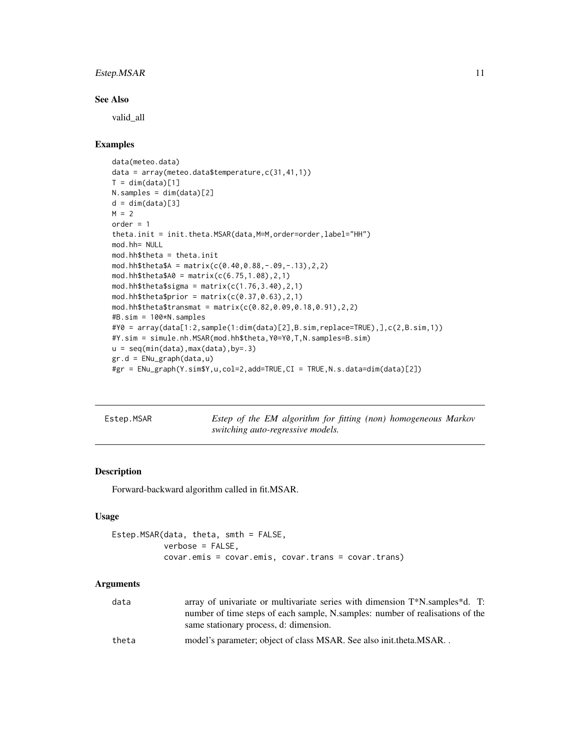# <span id="page-10-0"></span>Estep.MSAR 11

#### See Also

valid\_all

#### Examples

```
data(meteo.data)
data = array(meteo.data$temperature,c(31,41,1))
T = dim(data)[1]N.samples = dim(data)[2]
d = dim(data)[3]M = 2order = 1
theta.init = init.theta.MSAR(data,M=M,order=order,label="HH")
mod.hh= NULL
mod.hh$theta = theta.init
mod.hh$theta$A = matrix(c(0.40,0.88,-.09,-.13),2,2)
mod.hh$theta$A0 = matrix(c(6.75, 1.08), 2, 1)mod.hh$theta$signa = matrix(c(1.76, 3.40), 2, 1)mod.hh$theta$prior = matrix(c(0.37, 0.63), 2, 1)
mod.hh$theta$transmat = matrix(c(0.82,0.09,0.18,0.91),2,2)
#B.sim = 100*N.samples
#Y0 = array(data[1:2,sample(1:dim(data)[2],B.sim,replace=TRUE),],c(2,B.sim,1))
#Y.sim = simule.nh.MSAR(mod.hh$theta,Y0=Y0,T,N.samples=B.sim)
u = seq(min(data),max(data),by=.3)
gr.d = ENu_graph(data,u)
#gr = ENu_graph(Y.sim$Y,u,col=2,add=TRUE,CI = TRUE,N.s.data=dim(data)[2])
```
Estep.MSAR *Estep of the EM algorithm for fitting (non) homogeneous Markov switching auto-regressive models.*

#### Description

Forward-backward algorithm called in fit.MSAR.

#### Usage

```
Estep.MSAR(data, theta, smth = FALSE,
           verbose = FALSE,
           covar.emis = covar.emis, covar.trans = covar.trans)
```
#### Arguments

| data  | array of univariate or multivariate series with dimension $T^*N$ .samples d. T:<br>number of time steps of each sample, N.samples: number of realisations of the<br>same stationary process, d: dimension. |
|-------|------------------------------------------------------------------------------------------------------------------------------------------------------------------------------------------------------------|
| theta | model's parameter; object of class MSAR. See also init.theta.MSAR                                                                                                                                          |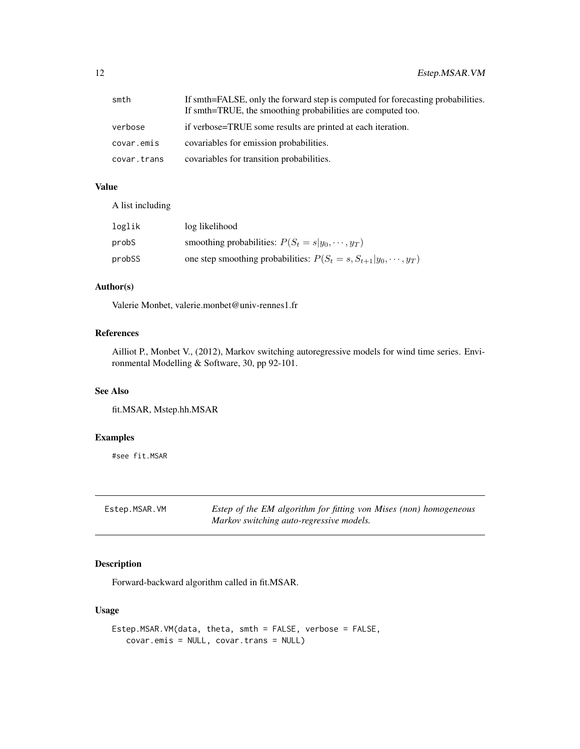<span id="page-11-0"></span>

| smth        | If smth=FALSE, only the forward step is computed for forecasting probabilities.<br>If smth=TRUE, the smoothing probabilities are computed too. |
|-------------|------------------------------------------------------------------------------------------------------------------------------------------------|
| verbose     | if verbose=TRUE some results are printed at each iteration.                                                                                    |
| covar.emis  | covariables for emission probabilities.                                                                                                        |
| covar.trans | covariables for transition probabilities.                                                                                                      |

# Value

A list including

| loglik | log likelihood                                                            |
|--------|---------------------------------------------------------------------------|
| probS  | smoothing probabilities: $P(S_t = s   y_0, \dots, y_T)$                   |
| probSS | one step smoothing probabilities: $P(S_t = s, S_{t+1}   y_0, \dots, y_T)$ |

# Author(s)

Valerie Monbet, valerie.monbet@univ-rennes1.fr

# References

Ailliot P., Monbet V., (2012), Markov switching autoregressive models for wind time series. Environmental Modelling & Software, 30, pp 92-101.

#### See Also

fit.MSAR, Mstep.hh.MSAR

#### Examples

#see fit.MSAR

Estep.MSAR.VM *Estep of the EM algorithm for fitting von Mises (non) homogeneous Markov switching auto-regressive models.*

# Description

Forward-backward algorithm called in fit.MSAR.

# Usage

```
Estep.MSAR.VM(data, theta, smth = FALSE, verbose = FALSE,
   covar.emis = NULL, covar.trans = NULL)
```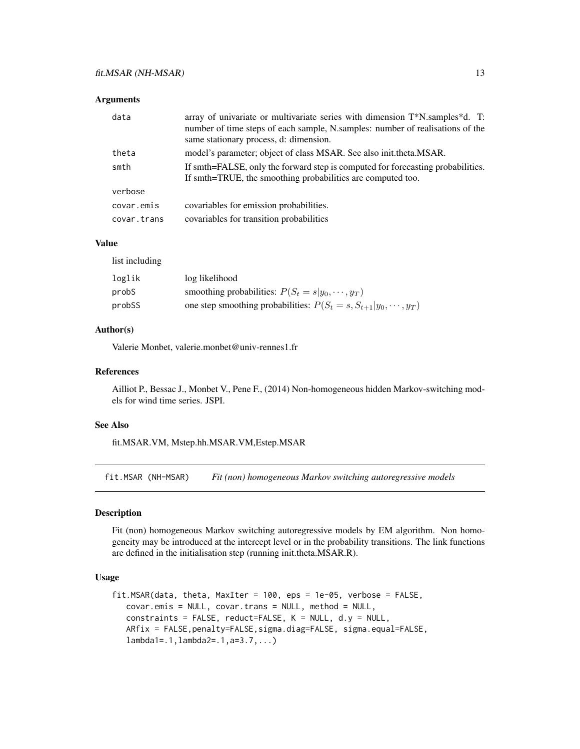<span id="page-12-0"></span>

| data        | array of univariate or multivariate series with dimension T*N.samples*d. T:<br>number of time steps of each sample, N.samples: number of realisations of the<br>same stationary process, d: dimension. |
|-------------|--------------------------------------------------------------------------------------------------------------------------------------------------------------------------------------------------------|
| theta       | model's parameter; object of class MSAR. See also init.theta.MSAR.                                                                                                                                     |
| smth        | If smth=FALSE, only the forward step is computed for forecasting probabilities.<br>If smth=TRUE, the smoothing probabilities are computed too.                                                         |
| verbose     |                                                                                                                                                                                                        |
| covar.emis  | covariables for emission probabilities.                                                                                                                                                                |
| covar.trans | covariables for transition probabilities                                                                                                                                                               |

#### Value

list including

| loglik | log likelihood                                                            |
|--------|---------------------------------------------------------------------------|
| probS  | smoothing probabilities: $P(S_t = s   y_0, \dots, y_T)$                   |
| probSS | one step smoothing probabilities: $P(S_t = s, S_{t+1}   y_0, \dots, y_T)$ |

#### Author(s)

Valerie Monbet, valerie.monbet@univ-rennes1.fr

#### References

Ailliot P., Bessac J., Monbet V., Pene F., (2014) Non-homogeneous hidden Markov-switching models for wind time series. JSPI.

#### See Also

fit.MSAR.VM, Mstep.hh.MSAR.VM,Estep.MSAR

fit.MSAR (NH-MSAR) *Fit (non) homogeneous Markov switching autoregressive models*

### Description

Fit (non) homogeneous Markov switching autoregressive models by EM algorithm. Non homogeneity may be introduced at the intercept level or in the probability transitions. The link functions are defined in the initialisation step (running init.theta.MSAR.R).

# Usage

```
fit.MSAR(data, theta, MaxIter = 100,eps = 1e-05, verbose = FALSE,covar.emis = NULL, covar.trans = NULL, method = NULL,
  constraints = FALSE, reduct=FALSE, K = NULL, d.y = NULL,
   ARfix = FALSE,penalty=FALSE,sigma.diag=FALSE, sigma.equal=FALSE,
   lambda1=.1,lambda2=.1,a=3.7,...)
```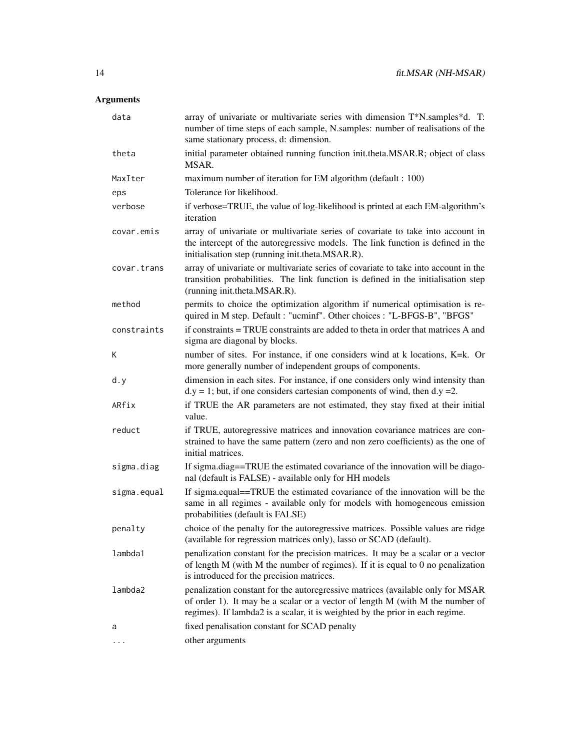| data        | array of univariate or multivariate series with dimension T*N.samples*d. T:<br>number of time steps of each sample, N.samples: number of realisations of the<br>same stationary process, d: dimension.                                           |
|-------------|--------------------------------------------------------------------------------------------------------------------------------------------------------------------------------------------------------------------------------------------------|
| theta       | initial parameter obtained running function init.theta.MSAR.R; object of class<br>MSAR.                                                                                                                                                          |
| MaxIter     | maximum number of iteration for EM algorithm (default : 100)                                                                                                                                                                                     |
| eps         | Tolerance for likelihood.                                                                                                                                                                                                                        |
| verbose     | if verbose=TRUE, the value of log-likelihood is printed at each EM-algorithm's<br>iteration                                                                                                                                                      |
| covar.emis  | array of univariate or multivariate series of covariate to take into account in<br>the intercept of the autoregressive models. The link function is defined in the<br>initialisation step (running init.theta.MSAR.R).                           |
| covar.trans | array of univariate or multivariate series of covariate to take into account in the<br>transition probabilities. The link function is defined in the initialisation step<br>(running init.theta.MSAR.R).                                         |
| method      | permits to choice the optimization algorithm if numerical optimisation is re-<br>quired in M step. Default : "ucminf". Other choices : "L-BFGS-B", "BFGS"                                                                                        |
| constraints | if constraints = TRUE constraints are added to theta in order that matrices A and<br>sigma are diagonal by blocks.                                                                                                                               |
| Κ           | number of sites. For instance, if one considers wind at k locations, K=k. Or<br>more generally number of independent groups of components.                                                                                                       |
| d.y         | dimension in each sites. For instance, if one considers only wind intensity than<br>$dy = 1$ ; but, if one considers cartesian components of wind, then d.y = 2.                                                                                 |
| ARfix       | if TRUE the AR parameters are not estimated, they stay fixed at their initial<br>value.                                                                                                                                                          |
| reduct      | if TRUE, autoregressive matrices and innovation covariance matrices are con-<br>strained to have the same pattern (zero and non zero coefficients) as the one of<br>initial matrices.                                                            |
| sigma.diag  | If sigma.diag==TRUE the estimated covariance of the innovation will be diago-<br>nal (default is FALSE) - available only for HH models                                                                                                           |
| sigma.equal | If sigma.equal==TRUE the estimated covariance of the innovation will be the<br>same in all regimes - available only for models with homogeneous emission<br>probabilities (default is FALSE)                                                     |
| penalty     | choice of the penalty for the autoregressive matrices. Possible values are ridge<br>(available for regression matrices only), lasso or SCAD (default).                                                                                           |
| lambda1     | penalization constant for the precision matrices. It may be a scalar or a vector<br>of length $M$ (with $M$ the number of regimes). If it is equal to 0 no penalization<br>is introduced for the precision matrices.                             |
| lambda2     | penalization constant for the autoregressive matrices (available only for MSAR<br>of order 1). It may be a scalar or a vector of length M (with M the number of<br>regimes). If lambda2 is a scalar, it is weighted by the prior in each regime. |
| a           | fixed penalisation constant for SCAD penalty                                                                                                                                                                                                     |
| .           | other arguments                                                                                                                                                                                                                                  |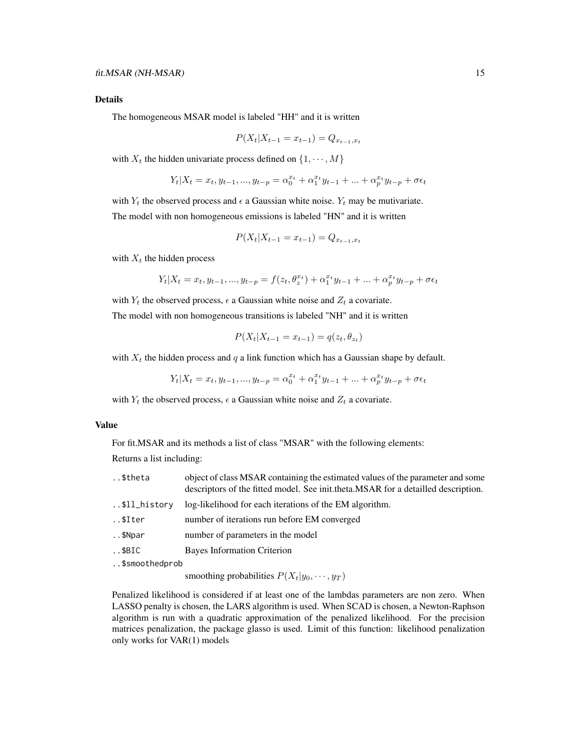#### Details

The homogeneous MSAR model is labeled "HH" and it is written

$$
P(X_t | X_{t-1} = x_{t-1}) = Q_{x_{t-1}, x_t}
$$

with  $X_t$  the hidden univariate process defined on  $\{1, \dots, M\}$ 

$$
Y_t | X_t = x_t, y_{t-1}, ..., y_{t-p} = \alpha_0^{x_t} + \alpha_1^{x_t} y_{t-1} + ... + \alpha_p^{x_t} y_{t-p} + \sigma \epsilon_t
$$

with  $Y_t$  the observed process and  $\epsilon$  a Gaussian white noise.  $Y_t$  may be mutivariate. The model with non homogeneous emissions is labeled "HN" and it is written

$$
P(X_t | X_{t-1} = x_{t-1}) = Q_{x_{t-1}, x_t}
$$

with  $X_t$  the hidden process

$$
Y_t | X_t = x_t, y_{t-1}, ..., y_{t-p} = f(z_t, \theta_z^{x_t}) + \alpha_1^{x_t} y_{t-1} + ... + \alpha_p^{x_t} y_{t-p} + \sigma \epsilon_t
$$

with  $Y_t$  the observed process,  $\epsilon$  a Gaussian white noise and  $Z_t$  a covariate. The model with non homogeneous transitions is labeled "NH" and it is written

$$
P(X_t | X_{t-1} = x_{t-1}) = q(z_t, \theta_{z_t})
$$

with  $X_t$  the hidden process and q a link function which has a Gaussian shape by default.

$$
Y_t | X_t = x_t, y_{t-1}, ..., y_{t-p} = \alpha_0^{x_t} + \alpha_1^{x_t} y_{t-1} + ... + \alpha_p^{x_t} y_{t-p} + \sigma \epsilon_t
$$

with  $Y_t$  the observed process,  $\epsilon$  a Gaussian white noise and  $Z_t$  a covariate.

#### Value

For fit.MSAR and its methods a list of class "MSAR" with the following elements:

Returns a list including:

| \$theta        | object of class MSAR containing the estimated values of the parameter and some<br>descriptors of the fitted model. See init.theta.MSAR for a detailled description. |
|----------------|---------------------------------------------------------------------------------------------------------------------------------------------------------------------|
| \$ll_history   | log-likelihood for each iterations of the EM algorithm.                                                                                                             |
| \$Iter         | number of iterations run before EM converged                                                                                                                        |
| \$Npar         | number of parameters in the model                                                                                                                                   |
| $. .$ \$BIC    | <b>Bayes Information Criterion</b>                                                                                                                                  |
| \$smoothedprob |                                                                                                                                                                     |

smoothing probabilities  $P(X_t|y_0, \dots, y_T)$ 

Penalized likelihood is considered if at least one of the lambdas parameters are non zero. When LASSO penalty is chosen, the LARS algorithm is used. When SCAD is chosen, a Newton-Raphson algorithm is run with a quadratic approximation of the penalized likelihood. For the precision matrices penalization, the package glasso is used. Limit of this function: likelihood penalization only works for VAR(1) models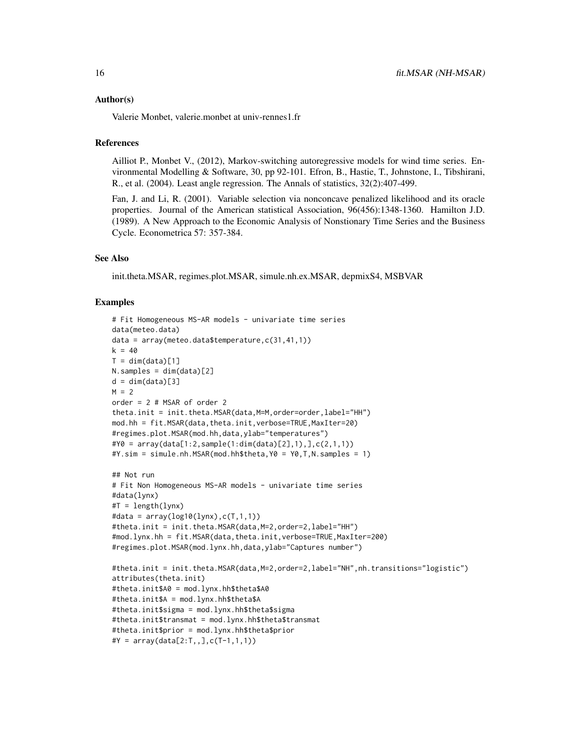#### Author(s)

Valerie Monbet, valerie.monbet at univ-rennes1.fr

#### References

Ailliot P., Monbet V., (2012), Markov-switching autoregressive models for wind time series. Environmental Modelling & Software, 30, pp 92-101. Efron, B., Hastie, T., Johnstone, I., Tibshirani, R., et al. (2004). Least angle regression. The Annals of statistics, 32(2):407-499.

Fan, J. and Li, R. (2001). Variable selection via nonconcave penalized likelihood and its oracle properties. Journal of the American statistical Association, 96(456):1348-1360. Hamilton J.D. (1989). A New Approach to the Economic Analysis of Nonstionary Time Series and the Business Cycle. Econometrica 57: 357-384.

#### See Also

init.theta.MSAR, regimes.plot.MSAR, simule.nh.ex.MSAR, depmixS4, MSBVAR

#### Examples

```
# Fit Homogeneous MS-AR models - univariate time series
data(meteo.data)
data = array(meteo.data$temperature,c(31,41,1))
k = 40T = dim(data)[1]N.samples = dim(data)[2]
d = dim(data)[3]M = 2order = 2 # MSAR of order 2
theta.init = init.theta.MSAR(data,M=M,order=order,label="HH")
mod.hh = fit.MSAR(data,theta.init,verbose=TRUE,MaxIter=20)
#regimes.plot.MSAR(mod.hh,data,ylab="temperatures")
#Y0 = array(data[1:2,sample(1:dim(data)[2],1),],c(2,1,1))
#Y.sim = simule.nh.MSAR(mod.hh$theta,Y0 = Y0,T,N.samples = 1)
## Not run
# Fit Non Homogeneous MS-AR models - univariate time series
#data(lynx)
#T = length(lynx)
#data = array(log10(lynx), c(T,1,1))#theta.init = init.theta.MSAR(data,M=2,order=2,label="HH")
#mod.lynx.hh = fit.MSAR(data,theta.init,verbose=TRUE,MaxIter=200)
#regimes.plot.MSAR(mod.lynx.hh,data,ylab="Captures number")
#theta.init = init.theta.MSAR(data,M=2,order=2,label="NH",nh.transitions="logistic")
attributes(theta.init)
#theta.init$A0 = mod.lynx.hh$theta$A0
#theta.init$A = mod.lynx.hh$theta$A
#theta.init$sigma = mod.lynx.hh$theta$sigma
#theta.init$transmat = mod.lynx.hh$theta$transmat
#theta.init$prior = mod.lynx.hh$theta$prior
#Y = array(data[2:T, 1, 0; C(T-1, 1, 1))
```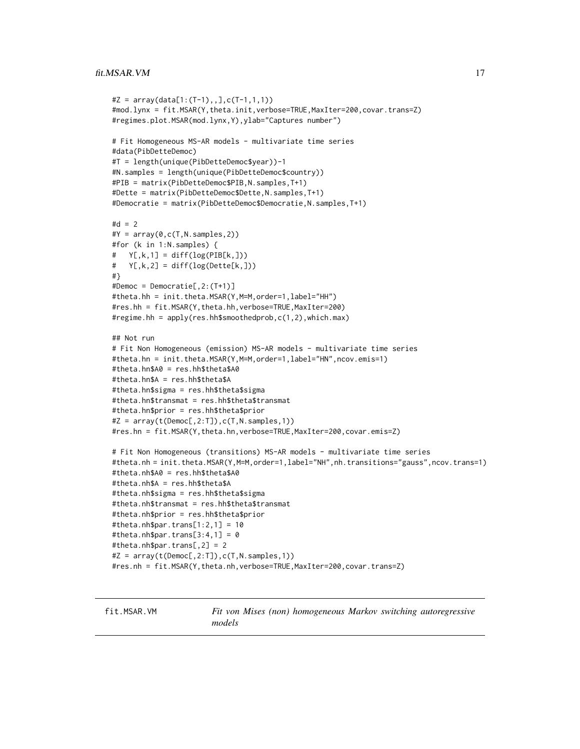```
#Z = array(data[1:(T-1),], c(T-1,1,1))#mod.lynx = fit.MSAR(Y,theta.init,verbose=TRUE,MaxIter=200,covar.trans=Z)
#regimes.plot.MSAR(mod.lynx,Y),ylab="Captures number")
# Fit Homogeneous MS-AR models - multivariate time series
#data(PibDetteDemoc)
#T = length(unique(PibDetteDemoc$year))-1
#N.samples = length(unique(PibDetteDemoc$country))
#PIB = matrix(PibDetteDemoc$PIB,N.samples,T+1)
#Dette = matrix(PibDetteDemoc$Dette,N.samples,T+1)
#Democratie = matrix(PibDetteDemoc$Democratie,N.samples,T+1)
#d = 2#Y = array(0, c(T, N.samples, 2))#for (k in 1:N.samples) {
# Y[,k,1] = diff(log(PIB[k,]))
# Y[, k, 2] = diff(log(Dette[k,]))#}
#Democ = Democratie[,2:(T+1)]
#theta.hh = init.theta.MSAR(Y,M=M,order=1,label="HH")
#res.hh = fit.MSAR(Y,theta.hh,verbose=TRUE,MaxIter=200)
#regime.hh = apply(res.hh$smoothedprob,c(1,2),which.max)
## Not run
# Fit Non Homogeneous (emission) MS-AR models - multivariate time series
#theta.hn = init.theta.MSAR(Y,M=M,order=1,label="HN",ncov.emis=1)
#theta.hn$A0 = res.hh$theta$A0
#theta.hn$A = res.hh$theta$A
#theta.hn$sigma = res.hh$theta$sigma
#theta.hn$transmat = res.hh$theta$transmat
#theta.hn$prior = res.hh$theta$prior
#Z = array(t(Democ[, 2:T]), c(T, N.samples, 1))#res.hn = fit.MSAR(Y,theta.hn,verbose=TRUE,MaxIter=200,covar.emis=Z)
# Fit Non Homogeneous (transitions) MS-AR models - multivariate time series
#theta.nh = init.theta.MSAR(Y,M=M,order=1,label="NH",nh.transitions="gauss",ncov.trans=1)
#theta.nh$A0 = res.hh$theta$A0
#theta.nh$A = res.hh$theta$A
#theta.nh$sigma = res.hh$theta$sigma
#theta.nh$transmat = res.hh$theta$transmat
#theta.nh$prior = res.hh$theta$prior
#theta.nh$par.trans[1:2,1] = 10
#theta.nh$par.trans[3:4,1] = 0
#theta.nh$par.trans[,2] = 2
#Z = array(t(Democ[, 2:T]), c(T, N.samples, 1))#res.nh = fit.MSAR(Y,theta.nh,verbose=TRUE,MaxIter=200,covar.trans=Z)
```
fit.MSAR.VM *Fit von Mises (non) homogeneous Markov switching autoregressive models*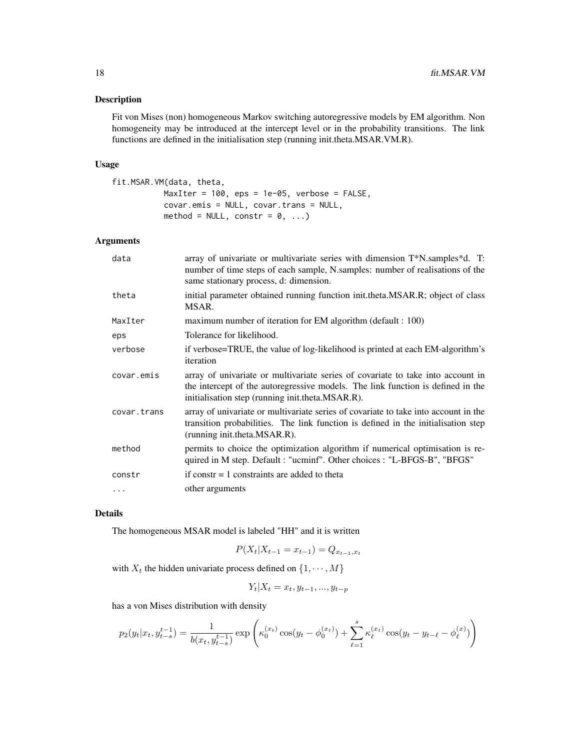#### Description

Fit von Mises (non) homogeneous Markov switching autoregressive models by EM algorithm. Non homogeneity may be introduced at the intercept level or in the probability transitions. The link functions are defined in the initialisation step (running init.theta.MSAR.VM.R).

#### Usage

```
fit.MSAR.VM(data, theta,
          MaxIter = 100, eps = 1e-05, verbose = FALSE,
          covar.emis = NULL, covar.trans = NULL,
          method = NULL, constr = 0, ...)
```
# Arguments

| data        | array of univariate or multivariate series with dimension T*N.samples*d. T:<br>number of time steps of each sample, N.samples: number of realisations of the<br>same stationary process, d: dimension.                 |
|-------------|------------------------------------------------------------------------------------------------------------------------------------------------------------------------------------------------------------------------|
| theta       | initial parameter obtained running function init.theta.MSAR.R; object of class<br>MSAR.                                                                                                                                |
| MaxIter     | maximum number of iteration for EM algorithm (default : 100)                                                                                                                                                           |
| eps         | Tolerance for likelihood.                                                                                                                                                                                              |
| verbose     | if verbose=TRUE, the value of log-likelihood is printed at each EM-algorithm's<br>iteration                                                                                                                            |
| covar.emis  | array of univariate or multivariate series of covariate to take into account in<br>the intercept of the autoregressive models. The link function is defined in the<br>initialisation step (running init.theta.MSAR.R). |
| covar.trans | array of univariate or multivariate series of covariate to take into account in the<br>transition probabilities. The link function is defined in the initialisation step<br>(running init.theta.MSAR.R).               |
| method      | permits to choice the optimization algorithm if numerical optimisation is re-<br>quired in M step. Default : "ucminf". Other choices : "L-BFGS-B", "BFGS"                                                              |
| constr      | if constr $= 1$ constraints are added to theta                                                                                                                                                                         |
| $\cdots$    | other arguments                                                                                                                                                                                                        |

### Details

The homogeneous MSAR model is labeled "HH" and it is written

$$
P(X_t | X_{t-1} = x_{t-1}) = Q_{x_{t-1}, x_t}
$$

with  $X_t$  the hidden univariate process defined on  $\{1, \dots, M\}$ 

$$
Y_t | X_t = x_t, y_{t-1}, \dots, y_{t-p}
$$

has a von Mises distribution with density

$$
p_2(y_t|x_t, y_{t-s}^{t-1}) = \frac{1}{b(x_t, y_{t-s}^{t-1})} \exp\left(\kappa_0^{(x_t)} \cos(y_t - \phi_0^{(x_t)}) + \sum_{\ell=1}^s \kappa_\ell^{(x_t)} \cos(y_t - y_{t-\ell} - \phi_\ell^{(x)})\right)
$$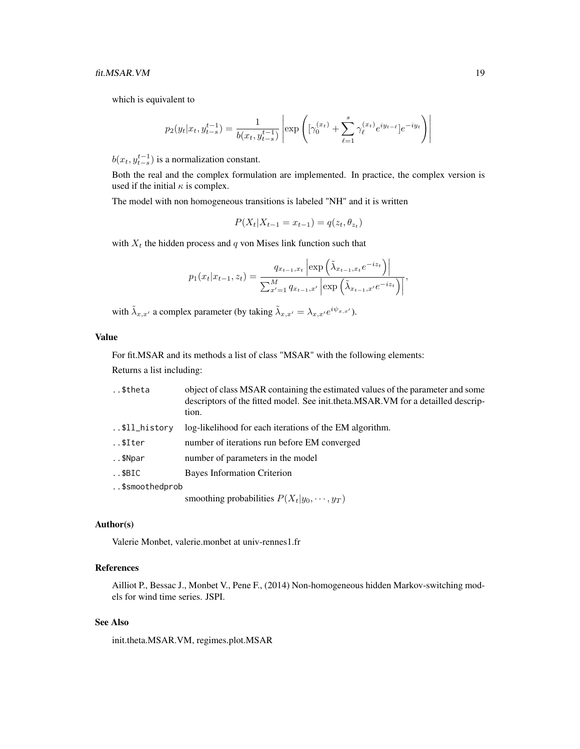which is equivalent to

$$
p_2(y_t|x_t, y_{t-s}^{t-1}) = \frac{1}{b(x_t, y_{t-s}^{t-1})} \left| \exp \left( [\gamma_0^{(x_t)} + \sum_{\ell=1}^s \gamma_\ell^{(x_t)} e^{iy_{t-\ell}}] e^{-iy_t} \right) \right|
$$

 $b(x_t, y_{t-s}^{t-1})$  is a normalization constant.

Both the real and the complex formulation are implemented. In practice, the complex version is used if the initial  $\kappa$  is complex.

The model with non homogeneous transitions is labeled "NH" and it is written

$$
P(X_t | X_{t-1} = x_{t-1}) = q(z_t, \theta_{z_t})
$$

with  $X_t$  the hidden process and  $q$  von Mises link function such that

$$
p_1(x_t|x_{t-1}, z_t) = \frac{q_{x_{t-1},x_t} \left| \exp\left(\tilde{\lambda}_{x_{t-1},x_t} e^{-iz_t}\right) \right|}{\sum_{x'=1}^M q_{x_{t-1},x'} \left| \exp\left(\tilde{\lambda}_{x_{t-1},x'} e^{-iz_t}\right) \right|},
$$

 $\mathcal{L}$ 

with  $\tilde{\lambda}_{x,x'}$  a complex parameter (by taking  $\tilde{\lambda}_{x,x'} = \lambda_{x,x'} e^{i\psi_{x,x'}}$ ).

#### Value

For fit.MSAR and its methods a list of class "MSAR" with the following elements:

Returns a list including:

| \$theta        | object of class MSAR containing the estimated values of the parameter and some<br>descriptors of the fitted model. See init.theta.MSAR.VM for a detailled descrip-<br>tion. |
|----------------|-----------------------------------------------------------------------------------------------------------------------------------------------------------------------------|
| \$ll_history   | log-likelihood for each iterations of the EM algorithm.                                                                                                                     |
| \$Iter         | number of iterations run before EM converged                                                                                                                                |
| \$Npar         | number of parameters in the model                                                                                                                                           |
| $. .$ \$BIC    | <b>Bayes Information Criterion</b>                                                                                                                                          |
| \$smoothedprob |                                                                                                                                                                             |
|                | smoothing probabilities $P(X_t y_0, \dots, y_T)$                                                                                                                            |
|                |                                                                                                                                                                             |

#### Author(s)

Valerie Monbet, valerie.monbet at univ-rennes1.fr

# References

Ailliot P., Bessac J., Monbet V., Pene F., (2014) Non-homogeneous hidden Markov-switching models for wind time series. JSPI.

# See Also

init.theta.MSAR.VM, regimes.plot.MSAR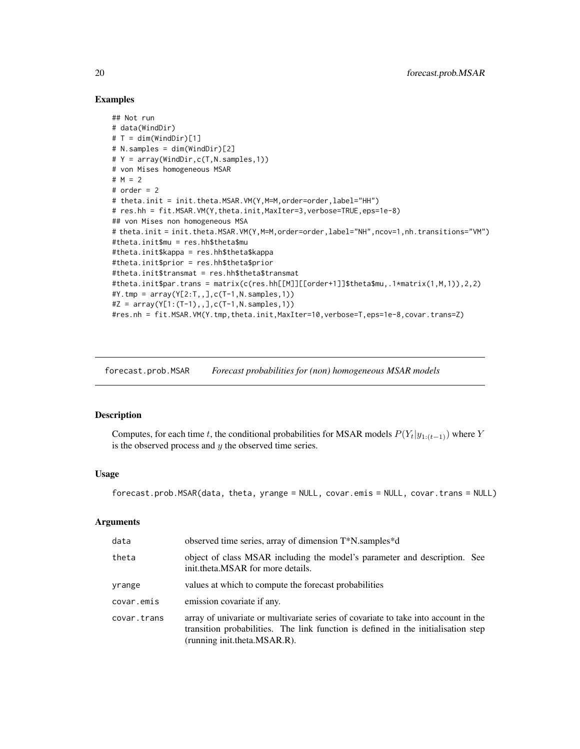#### Examples

```
## Not run
# data(WindDir)
# T = dim(WindDir)[1]# N.samples = dim(WindDir)[2]
# Y = array(WindDir,c(T,N.samples,1))
# von Mises homogeneous MSAR
# M = 2
# order = 2# theta.init = init.theta.MSAR.VM(Y,M=M,order=order,label="HH")
# res.hh = fit.MSAR.VM(Y,theta.init,MaxIter=3,verbose=TRUE,eps=1e-8)
## von Mises non homogeneous MSA
# theta.init = init.theta.MSAR.VM(Y,M=M,order=order,label="NH",ncov=1,nh.transitions="VM")
#theta.init$mu = res.hh$theta$mu
#theta.init$kappa = res.hh$theta$kappa
#theta.init$prior = res.hh$theta$prior
#theta.init$transmat = res.hh$theta$transmat
#theta.init$par.trans = matrix(c(res.hh[[M]][[order+1]]$theta$mu,.1*matrix(1,M,1)),2,2)
#Y.tmp = array(Y[2:T,,],c(T-1,N.samples,1))#Z = array(Y[1:(T-1),], C(T-1), N.samples, 1))#res.nh = fit.MSAR.VM(Y.tmp,theta.init,MaxIter=10,verbose=T,eps=1e-8,covar.trans=Z)
```
forecast.prob.MSAR *Forecast probabilities for (non) homogeneous MSAR models*

# Description

Computes, for each time t, the conditional probabilities for MSAR models  $P(Y_t|y_{1:(t-1)})$  where Y is the observed process and  $y$  the observed time series.

#### Usage

forecast.prob.MSAR(data, theta, yrange = NULL, covar.emis = NULL, covar.trans = NULL)

#### Arguments

| data        | observed time series, array of dimension T*N.samples*d                                                                                                                                                   |
|-------------|----------------------------------------------------------------------------------------------------------------------------------------------------------------------------------------------------------|
| theta       | object of class MSAR including the model's parameter and description. See<br>init.theta.MSAR for more details.                                                                                           |
| yrange      | values at which to compute the forecast probabilities                                                                                                                                                    |
| covar.emis  | emission covariate if any.                                                                                                                                                                               |
| covar.trans | array of univariate or multivariate series of covariate to take into account in the<br>transition probabilities. The link function is defined in the initialisation step<br>(running init.theta.MSAR.R). |

<span id="page-19-0"></span>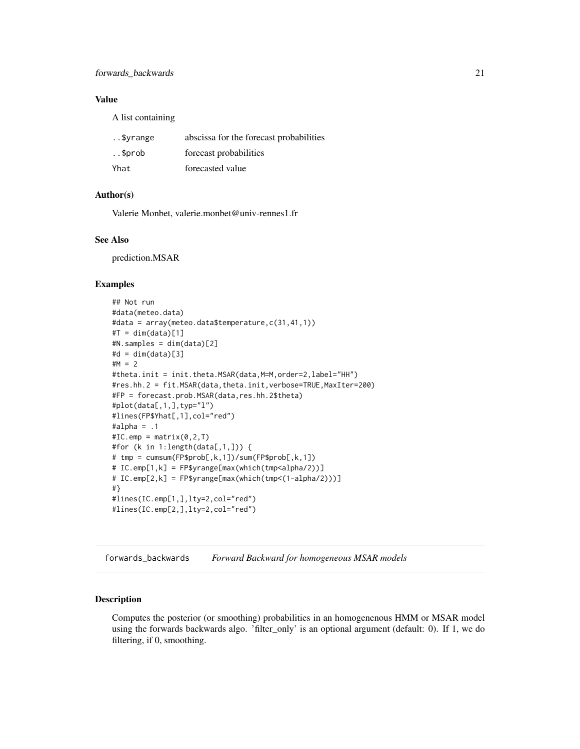#### <span id="page-20-0"></span>Value

A list containing

| \$vrange | abscissa for the forecast probabilities |
|----------|-----------------------------------------|
| \$prob.  | forecast probabilities                  |
| Yhat     | forecasted value                        |

#### Author(s)

Valerie Monbet, valerie.monbet@univ-rennes1.fr

#### See Also

prediction.MSAR

# Examples

```
## Not run
#data(meteo.data)
#data = array(meteo.data$temperature,c(31,41,1))
#T = dim(data)[1]#N.samples = dim(data)[2]
#d = dim(data)[3]#M = 2
#theta.init = init.theta.MSAR(data,M=M,order=2,label="HH")
#res.hh.2 = fit.MSAR(data,theta.init,verbose=TRUE,MaxIter=200)
#FP = forecast.prob.MSAR(data,res.hh.2$theta)
#plot(data[,1,],typ="l")
#lines(FP$Yhat[,1],col="red")
#alpha = .1#IC.emp = matrix(0, 2, T)#for (k in 1:length(data[,1,])) {
# tmp = cumsum(FP$prob[,k,1])/sum(FP$prob[,k,1])
# IC.emp[1,k] = FP$yrange[max(which(tmp<alpha/2))]
# IC.emp[2,k] = FP$yrange[max(which(tmp<(1-alpha/2)))]
#}
#lines(IC.emp[1,],lty=2,col="red")
#lines(IC.emp[2,],lty=2,col="red")
```
forwards\_backwards *Forward Backward for homogeneous MSAR models*

#### Description

Computes the posterior (or smoothing) probabilities in an homogenenous HMM or MSAR model using the forwards backwards algo. 'filter\_only' is an optional argument (default: 0). If 1, we do filtering, if 0, smoothing.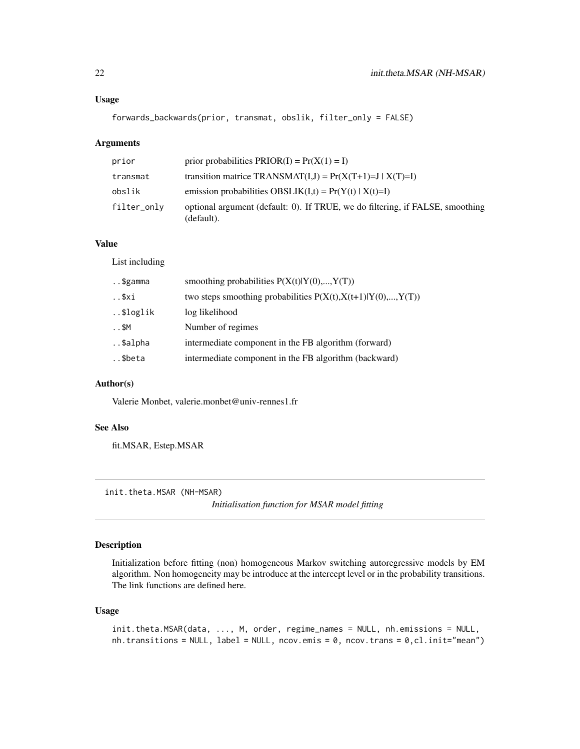#### <span id="page-21-0"></span>Usage

forwards\_backwards(prior, transmat, obslik, filter\_only = FALSE)

# Arguments

| prior       | prior probabilities $PRIOR(I) = Pr(X(1) = I)$                                               |
|-------------|---------------------------------------------------------------------------------------------|
| transmat    | transition matrice TRANSMAT(I,J) = $Pr(X(T+1)=J   X(T)=I)$                                  |
| obslik      | emission probabilities OBSLIK $(I,t) = Pr(Y(t)   X(t)=I)$                                   |
| filter_only | optional argument (default: 0). If TRUE, we do filtering, if FALSE, smoothing<br>(default). |

#### Value

List including

| \$gamma   | smoothing probabilities $P(X(t) Y(0),,Y(T))$                    |
|-----------|-----------------------------------------------------------------|
| \$xi      | two steps smoothing probabilities $P(X(t), X(t+1) Y(0),, Y(T))$ |
| \$loglik  | log likelihood                                                  |
| $. .$ \$M | Number of regimes                                               |
| \$alpha   | intermediate component in the FB algorithm (forward)            |
| \$beta    | intermediate component in the FB algorithm (backward)           |

#### Author(s)

Valerie Monbet, valerie.monbet@univ-rennes1.fr

# See Also

fit.MSAR, Estep.MSAR

init.theta.MSAR (NH-MSAR)

*Initialisation function for MSAR model fitting*

# Description

Initialization before fitting (non) homogeneous Markov switching autoregressive models by EM algorithm. Non homogeneity may be introduce at the intercept level or in the probability transitions. The link functions are defined here.

#### Usage

```
init.theta.MSAR(data, ..., M, order, regime_names = NULL, nh.emissions = NULL,
nh. transitions = NULL, label = NULL, ncov.emis = 0, ncov.trans = 0, cl.init="mean")
```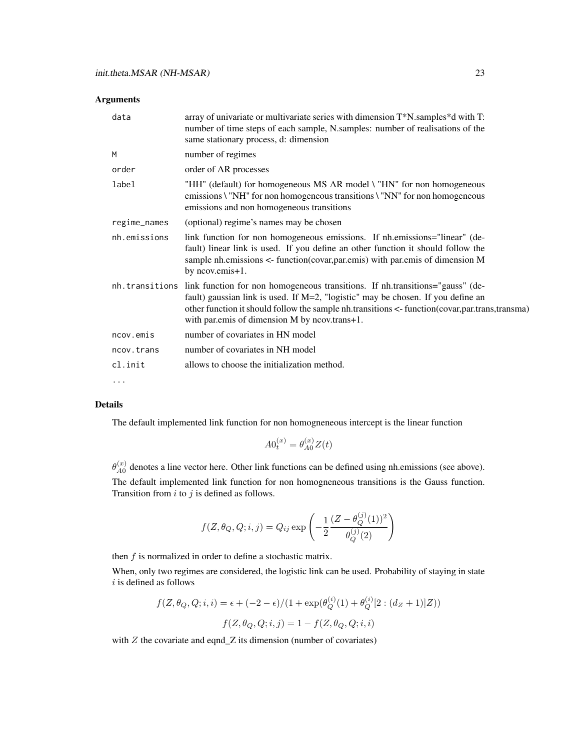| data         | array of univariate or multivariate series with dimension T*N samples*d with T:<br>number of time steps of each sample, N.samples: number of realisations of the<br>same stationary process, d: dimension                                                                                                                              |
|--------------|----------------------------------------------------------------------------------------------------------------------------------------------------------------------------------------------------------------------------------------------------------------------------------------------------------------------------------------|
| M            | number of regimes                                                                                                                                                                                                                                                                                                                      |
| order        | order of AR processes                                                                                                                                                                                                                                                                                                                  |
| label        | "HH" (default) for homogeneous MS AR model \ "HN" for non homogeneous<br>emissions \ "NH" for non homogeneous transitions \ "NN" for non homogeneous<br>emissions and non homogeneous transitions                                                                                                                                      |
| regime_names | (optional) regime's names may be chosen                                                                                                                                                                                                                                                                                                |
| nh.emissions | link function for non homogeneous emissions. If nh.emissions="linear" (de-<br>fault) linear link is used. If you define an other function it should follow the<br>sample nh.emissions $\lt$ - function(covar, par.emis) with par.emis of dimension M<br>by ncovemis+1.                                                                 |
|              | nh. transitions link function for non homogeneous transitions. If nh.transitions="gauss" (de-<br>fault) gaussian link is used. If M=2, "logistic" may be chosen. If you define an<br>other function it should follow the sample nh.transitions <- function(covar, par.trans, transma)<br>with par.emis of dimension M by ncov.trans+1. |
| ncov.emis    | number of covariates in HN model                                                                                                                                                                                                                                                                                                       |
| ncov.trans   | number of covariates in NH model                                                                                                                                                                                                                                                                                                       |
| cl.init      | allows to choose the initialization method.                                                                                                                                                                                                                                                                                            |
| $\cdots$     |                                                                                                                                                                                                                                                                                                                                        |

#### Details

The default implemented link function for non homogneneous intercept is the linear function

$$
A0_t^{(x)} = \theta_{A0}^{(x)} Z(t)
$$

 $\theta_{A0}^{(x)}$  $A_0^{(x)}$  denotes a line vector here. Other link functions can be defined using nh.emissions (see above).

The default implemented link function for non homogneneous transitions is the Gauss function. Transition from  $i$  to  $j$  is defined as follows.

$$
f(Z, \theta_Q, Q; i, j) = Q_{ij} \exp \left( -\frac{1}{2} \frac{(Z - \theta_Q^{(j)}(1))^2}{\theta_Q^{(j)}(2)} \right)
$$

then  $f$  is normalized in order to define a stochastic matrix.

When, only two regimes are considered, the logistic link can be used. Probability of staying in state  $i$  is defined as follows

$$
f(Z, \theta_Q, Q; i, i) = \epsilon + (-2 - \epsilon) / (1 + \exp(\theta_Q^{(i)}(1) + \theta_Q^{(i)}[2 : (d_Z + 1)]Z))
$$

$$
f(Z, \theta_Q, Q; i, j) = 1 - f(Z, \theta_Q, Q; i, i)
$$

with  $Z$  the covariate and eqnd $Z$  its dimension (number of covariates)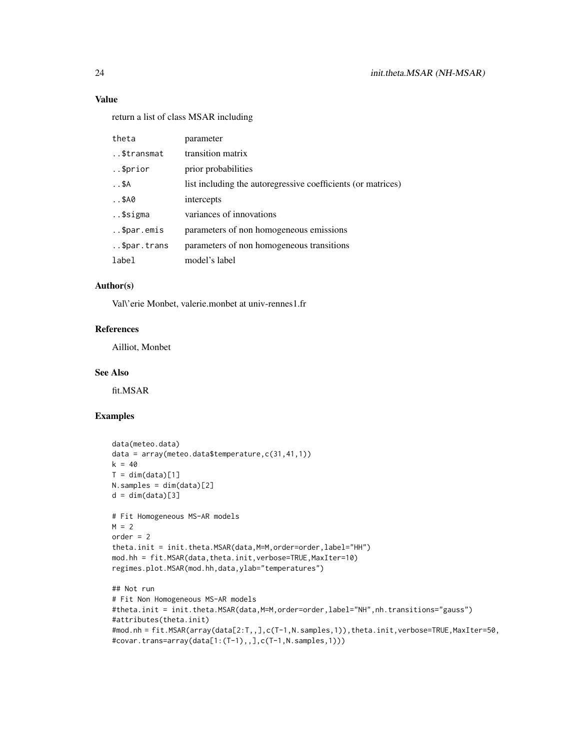# Value

return a list of class MSAR including

| theta                | parameter                                                    |
|----------------------|--------------------------------------------------------------|
| \$transmat           | transition matrix                                            |
| \$prior              | prior probabilities                                          |
| $. .$ \$A            | list including the autoregressive coefficients (or matrices) |
| $. .$ \$A0           | intercepts                                                   |
| \$sigma              | variances of innovations                                     |
| \$par.emis           | parameters of non homogeneous emissions                      |
| $\ldots$ \$par.trans | parameters of non homogeneous transitions                    |
| label                | model's label                                                |

# Author(s)

Val\'erie Monbet, valerie.monbet at univ-rennes1.fr

#### References

Ailliot, Monbet

# See Also

fit.MSAR

# Examples

```
data(meteo.data)
data = array(meteo.data$temperature,c(31,41,1))
k = 40T = dim(data)[1]N.samples = dim(data)[2]
d = dim(data)[3]# Fit Homogeneous MS-AR models
M = 2order = 2theta.init = init.theta.MSAR(data, M=M, order=order, label="HH")
mod.hh = fit.MSAR(data,theta.init,verbose=TRUE,MaxIter=10)
regimes.plot.MSAR(mod.hh,data,ylab="temperatures")
## Not run
# Fit Non Homogeneous MS-AR models
#theta.init = init.theta.MSAR(data,M=M,order=order,label="NH",nh.transitions="gauss")
#attributes(theta.init)
#mod.nh = fit.MSAR(array(data[2:T,,],c(T-1,N.samples,1)),theta.init,verbose=TRUE,MaxIter=50,
#covar.trans=array(data[1:(T-1),,],c(T-1,N.samples,1)))
```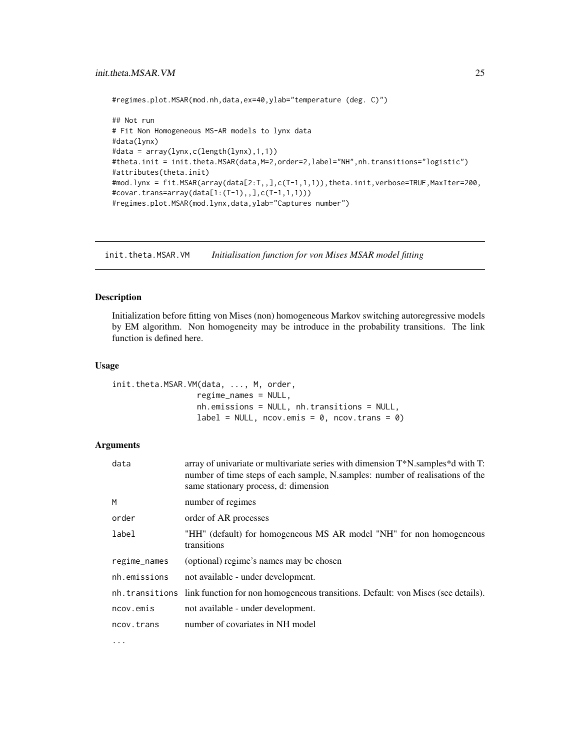```
#regimes.plot.MSAR(mod.nh,data,ex=40,ylab="temperature (deg. C)")
```

```
## Not run
# Fit Non Homogeneous MS-AR models to lynx data
#data(lynx)
#data = array(lynx,c(length(lynx),1,1))
#theta.init = init.theta.MSAR(data, M=2, order=2, label="NH", nh.transitions="logistic")
#attributes(theta.init)
#mod.lynx = fit.MSAR(array(data[2:T,,],c(T-1,1,1)),theta.init,verbose=TRUE,MaxIter=200,
#covar.trans=array(data[1:(T-1),,],c(T-1,1,1)))
#regimes.plot.MSAR(mod.lynx,data,ylab="Captures number")
```
init.theta.MSAR.VM *Initialisation function for von Mises MSAR model fitting* 

### Description

Initialization before fitting von Mises (non) homogeneous Markov switching autoregressive models by EM algorithm. Non homogeneity may be introduce in the probability transitions. The link function is defined here.

#### Usage

```
init.theta.MSAR.VM(data, ..., M, order,
                  regime_names = NULL,
                  nh.emissions = NULL, nh.transitions = NULL,
                  label = NULL, ncov-emis = 0, ncov.transpose = 0)
```
#### Arguments

| data         | array of univariate or multivariate series with dimension T*N.samples*d with T:<br>number of time steps of each sample, N.samples: number of realisations of the<br>same stationary process, d: dimension |
|--------------|-----------------------------------------------------------------------------------------------------------------------------------------------------------------------------------------------------------|
| M            | number of regimes                                                                                                                                                                                         |
| order        | order of AR processes                                                                                                                                                                                     |
| label        | "HH" (default) for homogeneous MS AR model "NH" for non homogeneous<br>transitions                                                                                                                        |
| regime_names | (optional) regime's names may be chosen                                                                                                                                                                   |
| nh.emissions | not available - under development.                                                                                                                                                                        |
|              | nh. transitions link function for non homogeneous transitions. Default: von Mises (see details).                                                                                                          |
| ncov.emis    | not available - under development.                                                                                                                                                                        |
| ncov.trans   | number of covariates in NH model                                                                                                                                                                          |
|              |                                                                                                                                                                                                           |

...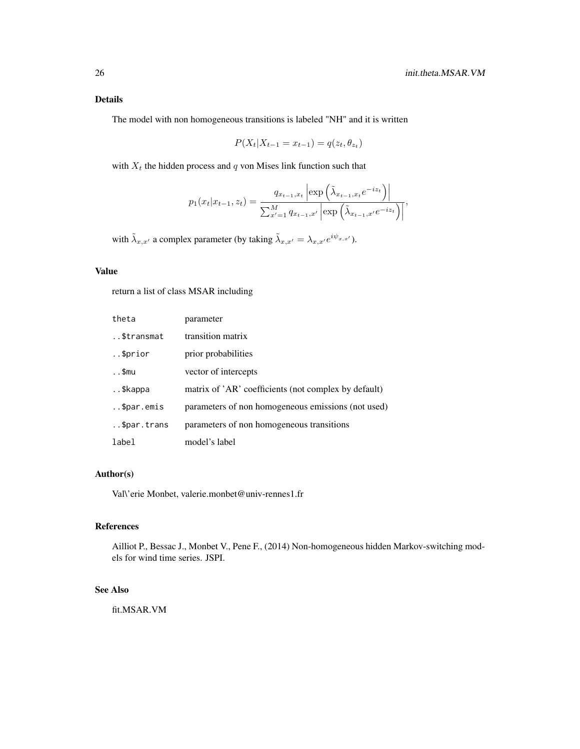# Details

The model with non homogeneous transitions is labeled "NH" and it is written

$$
P(X_t | X_{t-1} = x_{t-1}) = q(z_t, \theta_{z_t})
$$

with  $X_t$  the hidden process and  $q$  von Mises link function such that

$$
p_1(x_t|x_{t-1}, z_t) = \frac{q_{x_{t-1},x_t} \left| \exp\left(\tilde{\lambda}_{x_{t-1},x_t} e^{-iz_t}\right) \right|}{\sum_{x'=1}^M q_{x_{t-1},x'} \left| \exp\left(\tilde{\lambda}_{x_{t-1},x'} e^{-iz_t}\right) \right|},
$$

with  $\tilde{\lambda}_{x,x'}$  a complex parameter (by taking  $\tilde{\lambda}_{x,x'} = \lambda_{x,x'} e^{i\psi_{x,x'}}$ ).

# Value

return a list of class MSAR including

| theta         | parameter                                            |
|---------------|------------------------------------------------------|
| \$transmat    | transition matrix                                    |
| $.$ \$prior   | prior probabilities                                  |
| $\ldots$ \$mu | vector of intercepts                                 |
| \$kappa       | matrix of 'AR' coefficients (not complex by default) |
| \$par.emis    | parameters of non homogeneous emissions (not used)   |
| \$par.trans   | parameters of non homogeneous transitions            |
| label         | model's label                                        |

# Author(s)

Val\'erie Monbet, valerie.monbet@univ-rennes1.fr

# References

Ailliot P., Bessac J., Monbet V., Pene F., (2014) Non-homogeneous hidden Markov-switching models for wind time series. JSPI.

#### See Also

fit.MSAR.VM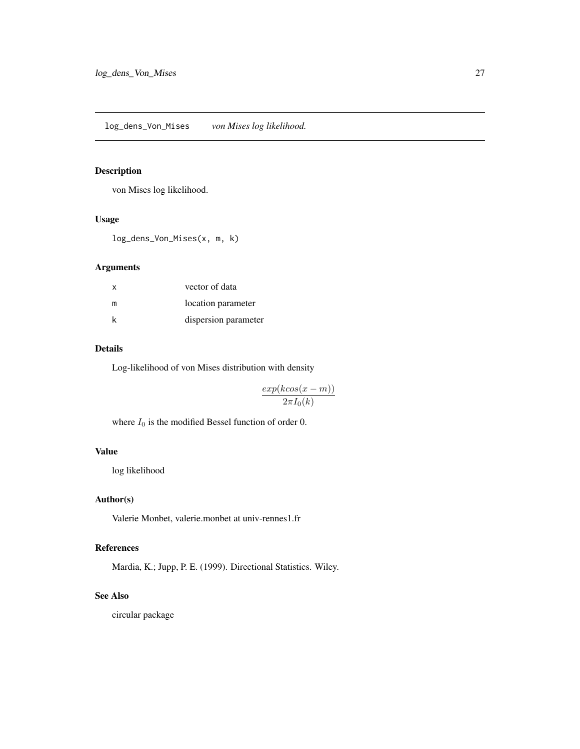# <span id="page-26-0"></span>Description

von Mises log likelihood.

#### Usage

log\_dens\_Von\_Mises(x, m, k)

# Arguments

| x | vector of data       |
|---|----------------------|
| m | location parameter   |
| k | dispersion parameter |

# Details

Log-likelihood of von Mises distribution with density

 $exp(kcos(x - m))$  $2\pi I_0(k)$ 

where  $I_0$  is the modified Bessel function of order 0.

#### Value

log likelihood

# Author(s)

Valerie Monbet, valerie.monbet at univ-rennes1.fr

# References

Mardia, K.; Jupp, P. E. (1999). Directional Statistics. Wiley.

#### See Also

circular package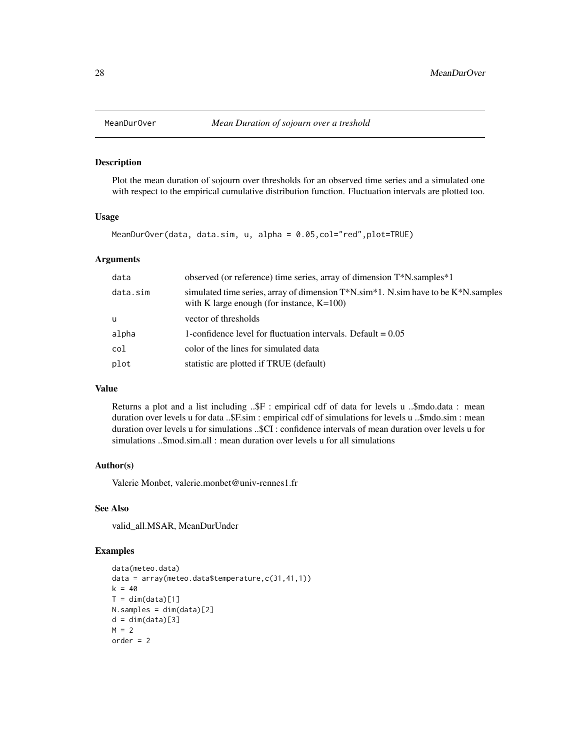<span id="page-27-0"></span>

#### Description

Plot the mean duration of sojourn over thresholds for an observed time series and a simulated one with respect to the empirical cumulative distribution function. Fluctuation intervals are plotted too.

#### Usage

MeanDurOver(data, data.sim, u, alpha = 0.05,col="red",plot=TRUE)

#### Arguments

| data     | observed (or reference) time series, array of dimension T*N.samples*1                                                                            |
|----------|--------------------------------------------------------------------------------------------------------------------------------------------------|
| data.sim | simulated time series, array of dimension $T^*N \cdot \sin^*1$ . N.sim have to be $K^*N$ samples<br>with K large enough (for instance, $K=100$ ) |
| u        | vector of thresholds                                                                                                                             |
| alpha    | 1-confidence level for fluctuation intervals. Default $= 0.05$                                                                                   |
| col      | color of the lines for simulated data                                                                                                            |
| plot     | statistic are plotted if TRUE (default)                                                                                                          |
|          |                                                                                                                                                  |

#### Value

Returns a plot and a list including ..\$F : empirical cdf of data for levels u ..\$mdo.data : mean duration over levels u for data ..\$F.sim : empirical cdf of simulations for levels u ..\$mdo.sim : mean duration over levels u for simulations ..\$CI : confidence intervals of mean duration over levels u for simulations ..\$mod.sim.all : mean duration over levels u for all simulations

#### Author(s)

Valerie Monbet, valerie.monbet@univ-rennes1.fr

#### See Also

valid\_all.MSAR, MeanDurUnder

#### Examples

```
data(meteo.data)
data = array(meteo.data$temperature,c(31,41,1))
k = 40T = dim(data)[1]N.samples = dim(data)[2]
d = dim(data)[3]M = 2order = 2
```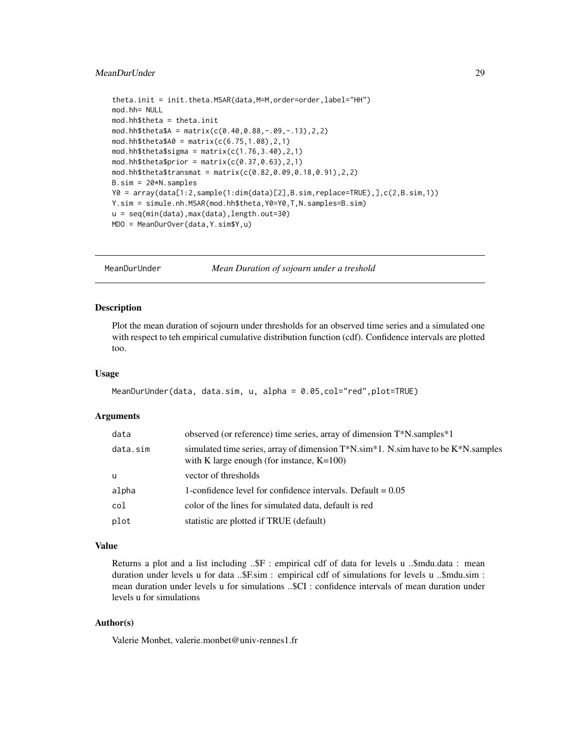# <span id="page-28-0"></span>MeanDurUnder 29

```
theta.init = init.theta.MSAR(data,M=M,order=order,label="HH")
mod.hh= NULL
mod.hh$theta = theta.init
mod.hh$theta$A = matrix(c(0.40, 0.88, -.09, -.13), 2, 2)mod.hh$theta$A0 = matrix(c(6.75, 1.08), 2, 1)mod.hh$theta$signa = matrix(c(1.76, 3.40), 2, 1)mod.hh$theta$prior = matrix(c(0.37, 0.63), 2,1)
mod.hh$theta$transmat = matrix(c(0.82,0.09,0.18,0.91),2,2)
B.sim = 20*N.samples
Y0 = array(data[1:2,sample(1:dim(data)[2],B.sim,replace=TRUE),],c(2,B.sim,1))
Y.sim = simule.nh.MSAR(mod.hh$theta,Y0=Y0,T,N.samples=B.sim)
u = seq(min(data),max(data),length.out=30)
MDO = MeanDurOver(data,Y.sim$Y,u)
```

```
MeanDurUnder Mean Duration of sojourn under a treshold
```
# **Description**

Plot the mean duration of sojourn under thresholds for an observed time series and a simulated one with respect to teh empirical cumulative distribution function (cdf). Confidence intervals are plotted too.

#### Usage

```
MeanDurUnder(data, data.sim, u, alpha = 0.05,col="red",plot=TRUE)
```
#### Arguments

| data     | observed (or reference) time series, array of dimension T*N.samples*1                                                                                    |
|----------|----------------------------------------------------------------------------------------------------------------------------------------------------------|
| data.sim | simulated time series, array of dimension $T^*N$ . Sim <sup>*1</sup> . N.sim have to be $K^*N$ . samples<br>with K large enough (for instance, $K=100$ ) |
| u        | vector of thresholds                                                                                                                                     |
| alpha    | 1-confidence level for confidence intervals. Default $= 0.05$                                                                                            |
| col      | color of the lines for simulated data, default is red                                                                                                    |
| plot     | statistic are plotted if TRUE (default)                                                                                                                  |
|          |                                                                                                                                                          |

#### Value

Returns a plot and a list including ...\$F : empirical cdf of data for levels u ...\$mdu.data : mean duration under levels u for data ..\$F.sim : empirical cdf of simulations for levels u ..\$mdu.sim : mean duration under levels u for simulations ..\$CI : confidence intervals of mean duration under levels u for simulations

# Author(s)

Valerie Monbet, valerie.monbet@univ-rennes1.fr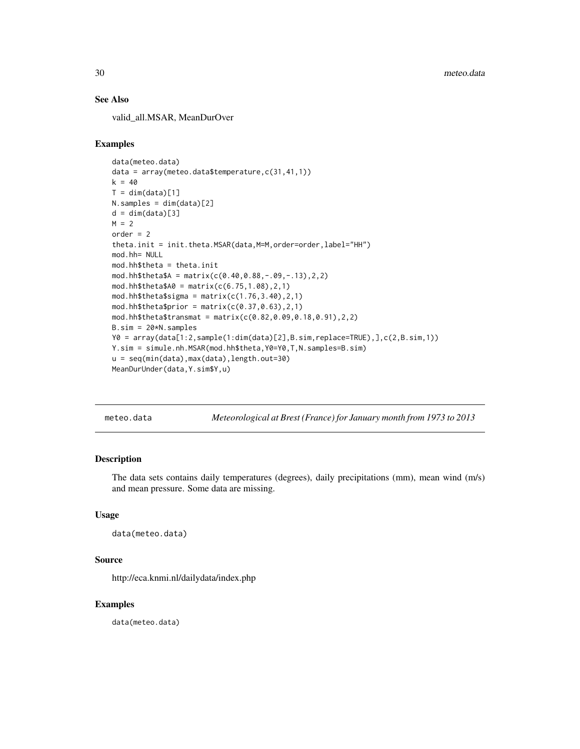#### See Also

valid\_all.MSAR, MeanDurOver

#### Examples

```
data(meteo.data)
data = array(meteo.data$temperature,c(31,41,1))
k = 40T = dim(data)[1]N.samples = dim(data)[2]
d = dim(data)[3]M = 2order = 2
theta.init = init.theta.MSAR(data,M=M,order=order,label="HH")
mod.hh= NULL
mod.hh$theta = theta.init
mod.hh$theta$A = matrix(c(0.40,0.88,-.09,-.13),2,2)
mod.hh$theta$A0 = matrix(c(6.75, 1.08), 2, 1)mod.hh$theta$signa = matrix(c(1.76, 3.40), 2, 1)mod.hh$theta$prior = matrix(c(0.37, 0.63), 2,1)
mod.hh$theta$transmat = matrix(c(0.82,0.09,0.18,0.91),2,2)
B.sim = 20*N.samples
Y0 = array(data[1:2,sample(1:dim(data)[2],B.sim,replace=TRUE),],c(2,B.sim,1))
Y.sim = simule.nh.MSAR(mod.hh$theta,Y0=Y0,T,N.samples=B.sim)
u = seq(min(data),max(data),length.out=30)
MeanDurUnder(data,Y.sim$Y,u)
```
meteo.data *Meteorological at Brest (France) for January month from 1973 to 2013*

#### Description

The data sets contains daily temperatures (degrees), daily precipitations (mm), mean wind (m/s) and mean pressure. Some data are missing.

#### Usage

```
data(meteo.data)
```
#### Source

http://eca.knmi.nl/dailydata/index.php

#### Examples

data(meteo.data)

<span id="page-29-0"></span>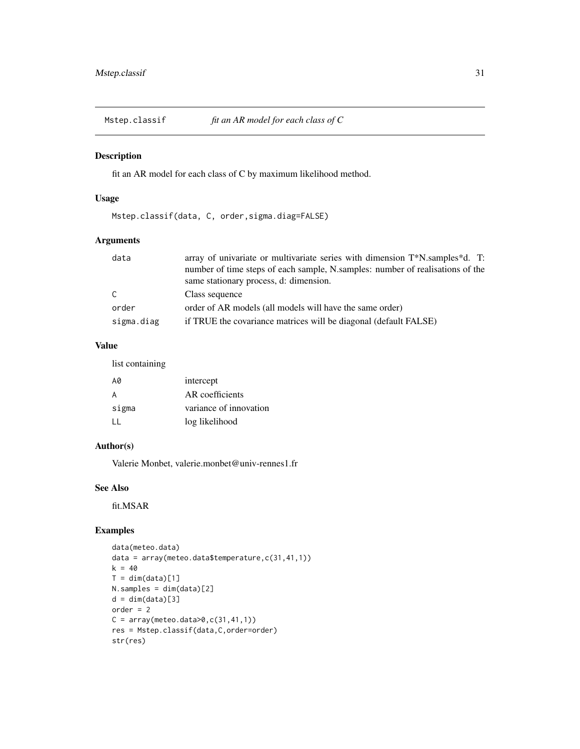<span id="page-30-0"></span>

# Description

fit an AR model for each class of C by maximum likelihood method.

# Usage

Mstep.classif(data, C, order,sigma.diag=FALSE)

# Arguments

| data       | array of univariate or multivariate series with dimension T*N.samples*d. T:   |
|------------|-------------------------------------------------------------------------------|
|            | number of time steps of each sample, N.samples: number of realisations of the |
|            | same stationary process, d: dimension.                                        |
| C          | Class sequence                                                                |
| order      | order of AR models (all models will have the same order)                      |
| sigma.diag | if TRUE the covariance matrices will be diagonal (default FALSE)              |

# Value

list containing

| A0    | intercept              |
|-------|------------------------|
| A     | AR coefficients        |
| sigma | variance of innovation |
| Ħ     | log likelihood         |

# Author(s)

Valerie Monbet, valerie.monbet@univ-rennes1.fr

# See Also

fit.MSAR

# Examples

```
data(meteo.data)
data = array(meteo.data$temperature,c(31,41,1))
k = 40T = dim(data)[1]N.samples = dim(data)[2]
d = dim(data)[3]order = 2
C = array(meteo.data>0, c(31, 41, 1))res = Mstep.classif(data,C,order=order)
str(res)
```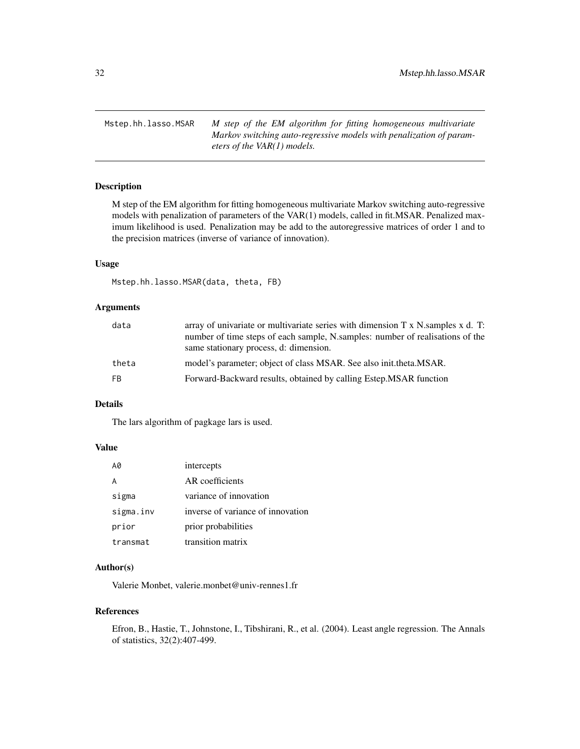<span id="page-31-0"></span>Mstep.hh.lasso.MSAR *M step of the EM algorithm for fitting homogeneous multivariate Markov switching auto-regressive models with penalization of parameters of the VAR(1) models.*

# Description

M step of the EM algorithm for fitting homogeneous multivariate Markov switching auto-regressive models with penalization of parameters of the VAR(1) models, called in fit.MSAR. Penalized maximum likelihood is used. Penalization may be add to the autoregressive matrices of order 1 and to the precision matrices (inverse of variance of innovation).

#### Usage

Mstep.hh.lasso.MSAR(data, theta, FB)

# Arguments

| data  | array of univariate or multivariate series with dimension $T \times N$ samples $x$ d. T:<br>number of time steps of each sample, N.samples: number of realisations of the<br>same stationary process, d: dimension. |
|-------|---------------------------------------------------------------------------------------------------------------------------------------------------------------------------------------------------------------------|
| theta | model's parameter; object of class MSAR. See also initiate that MSAR.                                                                                                                                               |
| FB    | Forward-Backward results, obtained by calling Estep. MSAR function                                                                                                                                                  |

#### Details

The lars algorithm of pagkage lars is used.

# Value

| A0        | intercepts                        |
|-----------|-----------------------------------|
| А         | AR coefficients                   |
| sigma     | variance of innovation            |
| sigma.inv | inverse of variance of innovation |
| prior     | prior probabilities               |
| transmat  | transition matrix                 |

# Author(s)

Valerie Monbet, valerie.monbet@univ-rennes1.fr

#### References

Efron, B., Hastie, T., Johnstone, I., Tibshirani, R., et al. (2004). Least angle regression. The Annals of statistics, 32(2):407-499.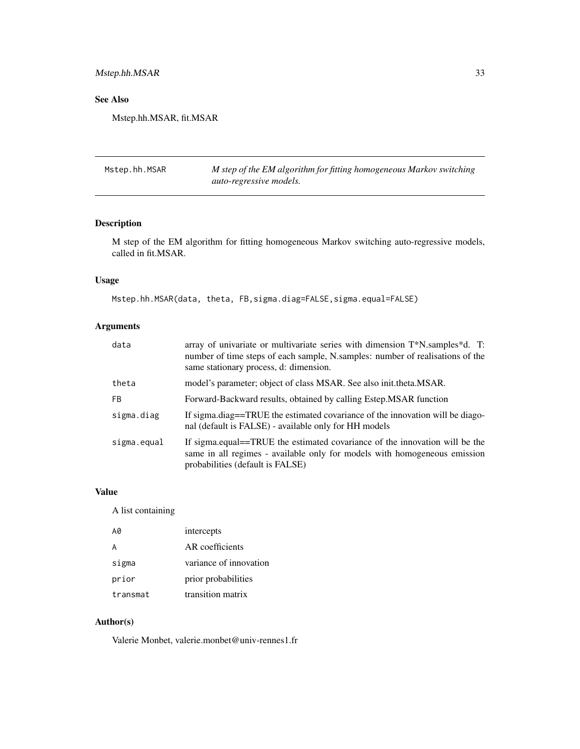# <span id="page-32-0"></span>Mstep.hh.MSAR 33

# See Also

Mstep.hh.MSAR, fit.MSAR

Mstep.hh.MSAR *M step of the EM algorithm for fitting homogeneous Markov switching auto-regressive models.*

# Description

M step of the EM algorithm for fitting homogeneous Markov switching auto-regressive models, called in fit.MSAR.

# Usage

Mstep.hh.MSAR(data, theta, FB, sigma.diag=FALSE, sigma.equal=FALSE)

# Arguments

| data        | array of univariate or multivariate series with dimension T*N.samples*d. T:<br>number of time steps of each sample, N.samples: number of realisations of the<br>same stationary process, d: dimension. |
|-------------|--------------------------------------------------------------------------------------------------------------------------------------------------------------------------------------------------------|
| theta       | model's parameter; object of class MSAR. See also init.theta.MSAR.                                                                                                                                     |
| <b>FB</b>   | Forward-Backward results, obtained by calling Estep. MSAR function                                                                                                                                     |
| sigma.diag  | If sigma.diag==TRUE the estimated covariance of the innovation will be diago-<br>nal (default is FALSE) - available only for HH models                                                                 |
| sigma.equal | If sigma.equal==TRUE the estimated covariance of the innovation will be the<br>same in all regimes - available only for models with homogeneous emission<br>probabilities (default is FALSE)           |

#### Value

A list containing

| A0       | intercepts             |
|----------|------------------------|
| A        | AR coefficients        |
| sigma    | variance of innovation |
| prior    | prior probabilities    |
| transmat | transition matrix      |

# Author(s)

Valerie Monbet, valerie.monbet@univ-rennes1.fr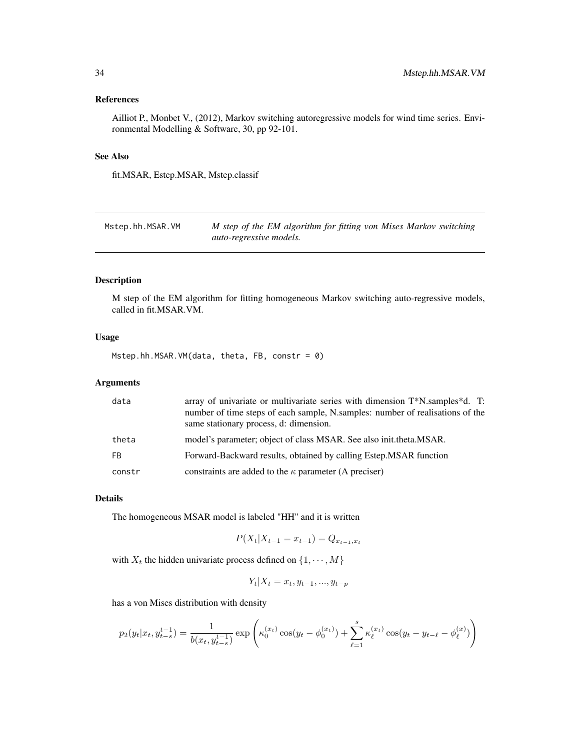# <span id="page-33-0"></span>References

Ailliot P., Monbet V., (2012), Markov switching autoregressive models for wind time series. Environmental Modelling & Software, 30, pp 92-101.

# See Also

fit.MSAR, Estep.MSAR, Mstep.classif

| Mstep.hh.MSAR.VM | M step of the EM algorithm for fitting von Mises Markov switching |
|------------------|-------------------------------------------------------------------|
|                  | auto-regressive models.                                           |

# Description

M step of the EM algorithm for fitting homogeneous Markov switching auto-regressive models, called in fit.MSAR.VM.

# Usage

Mstep.hh.MSAR.VM(data, theta, FB, constr = 0)

# Arguments

| data   | array of univariate or multivariate series with dimension T*N.samples*d. T:<br>number of time steps of each sample, N.samples: number of realisations of the<br>same stationary process, d: dimension. |
|--------|--------------------------------------------------------------------------------------------------------------------------------------------------------------------------------------------------------|
| theta  | model's parameter; object of class MSAR. See also init.theta.MSAR.                                                                                                                                     |
| FB.    | Forward-Backward results, obtained by calling Estep. MSAR function                                                                                                                                     |
| constr | constraints are added to the $\kappa$ parameter (A preciser)                                                                                                                                           |

#### Details

The homogeneous MSAR model is labeled "HH" and it is written

$$
P(X_t | X_{t-1} = x_{t-1}) = Q_{x_{t-1}, x_t}
$$

with  $X_t$  the hidden univariate process defined on  $\{1, \dots, M\}$ 

$$
Y_t | X_t = x_t, y_{t-1}, ..., y_{t-p}
$$

has a von Mises distribution with density

$$
p_2(y_t|x_t, y_{t-s}^{t-1}) = \frac{1}{b(x_t, y_{t-s}^{t-1})} \exp\left(\kappa_0^{(x_t)} \cos(y_t - \phi_0^{(x_t)}) + \sum_{\ell=1}^s \kappa_\ell^{(x_t)} \cos(y_t - y_{t-\ell} - \phi_\ell^{(x)})\right)
$$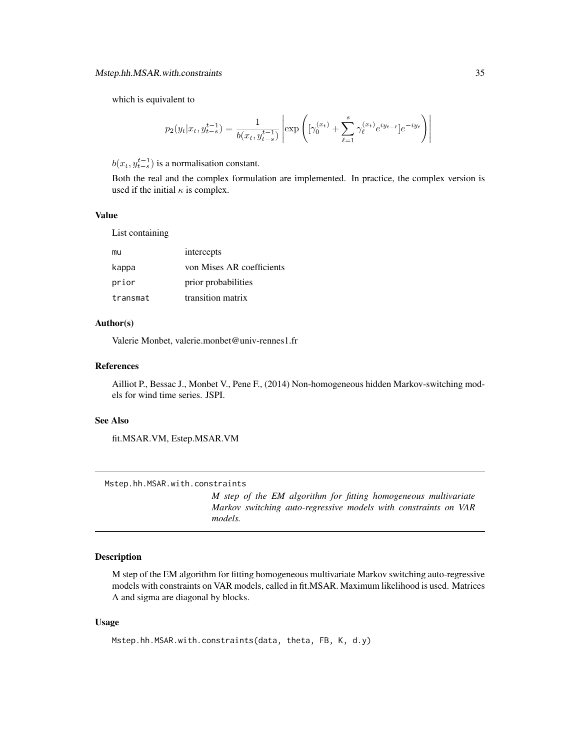<span id="page-34-0"></span>which is equivalent to

$$
p_2(y_t|x_t, y_{t-s}^{t-1}) = \frac{1}{b(x_t, y_{t-s}^{t-1})} \left| \exp \left( [\gamma_0^{(x_t)} + \sum_{\ell=1}^s \gamma_\ell^{(x_t)} e^{iy_{t-\ell}}] e^{-iy_t} \right) \right|
$$

 $b(x_t, y_{t-s}^{t-1})$  is a normalisation constant.

Both the real and the complex formulation are implemented. In practice, the complex version is used if the initial  $\kappa$  is complex.

#### Value

List containing

| mu       | intercepts                |
|----------|---------------------------|
| kappa    | von Mises AR coefficients |
| prior    | prior probabilities       |
| transmat | transition matrix         |

# Author(s)

Valerie Monbet, valerie.monbet@univ-rennes1.fr

#### References

Ailliot P., Bessac J., Monbet V., Pene F., (2014) Non-homogeneous hidden Markov-switching models for wind time series. JSPI.

# See Also

fit.MSAR.VM, Estep.MSAR.VM

Mstep.hh.MSAR.with.constraints

*M step of the EM algorithm for fitting homogeneous multivariate Markov switching auto-regressive models with constraints on VAR models.*

# Description

M step of the EM algorithm for fitting homogeneous multivariate Markov switching auto-regressive models with constraints on VAR models, called in fit.MSAR. Maximum likelihood is used. Matrices A and sigma are diagonal by blocks.

#### Usage

```
Mstep.hh.MSAR.with.constraints(data, theta, FB, K, d.y)
```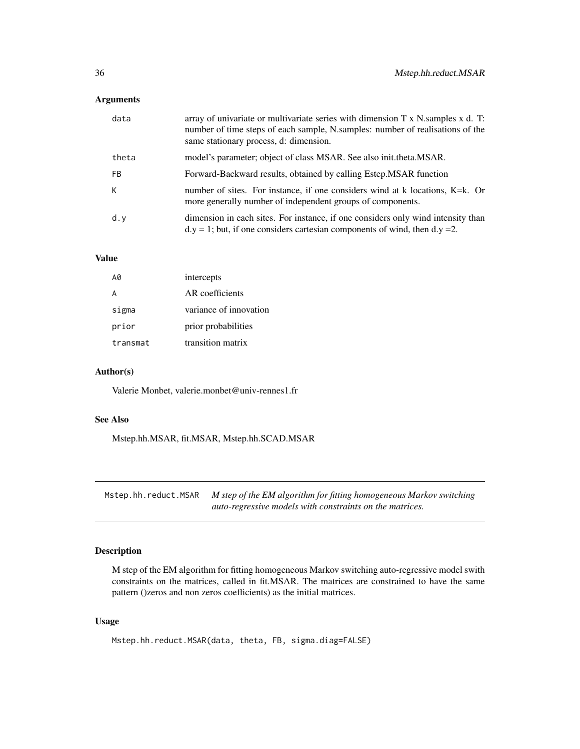<span id="page-35-0"></span>

| data      | array of univariate or multivariate series with dimension $T \times N$ . Samples $x \, d$ . T:<br>number of time steps of each sample, N.samples: number of realisations of the<br>same stationary process, d: dimension. |
|-----------|---------------------------------------------------------------------------------------------------------------------------------------------------------------------------------------------------------------------------|
| theta     | model's parameter; object of class MSAR. See also init.theta.MSAR.                                                                                                                                                        |
| <b>FB</b> | Forward-Backward results, obtained by calling Estep. MSAR function                                                                                                                                                        |
| К         | number of sites. For instance, if one considers wind at k locations, K=k. Or<br>more generally number of independent groups of components.                                                                                |
| d.y       | dimension in each sites. For instance, if one considers only wind intensity than<br>$dy = 1$ ; but, if one considers cartesian components of wind, then d.y = 2.                                                          |

# Value

| A0       | intercepts             |
|----------|------------------------|
| А        | AR coefficients        |
| sigma    | variance of innovation |
| prior    | prior probabilities    |
| transmat | transition matrix      |

#### Author(s)

Valerie Monbet, valerie.monbet@univ-rennes1.fr

#### See Also

Mstep.hh.MSAR, fit.MSAR, Mstep.hh.SCAD.MSAR

Mstep.hh.reduct.MSAR *M step of the EM algorithm for fitting homogeneous Markov switching auto-regressive models with constraints on the matrices.*

# Description

M step of the EM algorithm for fitting homogeneous Markov switching auto-regressive model swith constraints on the matrices, called in fit.MSAR. The matrices are constrained to have the same pattern ()zeros and non zeros coefficients) as the initial matrices.

# Usage

```
Mstep.hh.reduct.MSAR(data, theta, FB, sigma.diag=FALSE)
```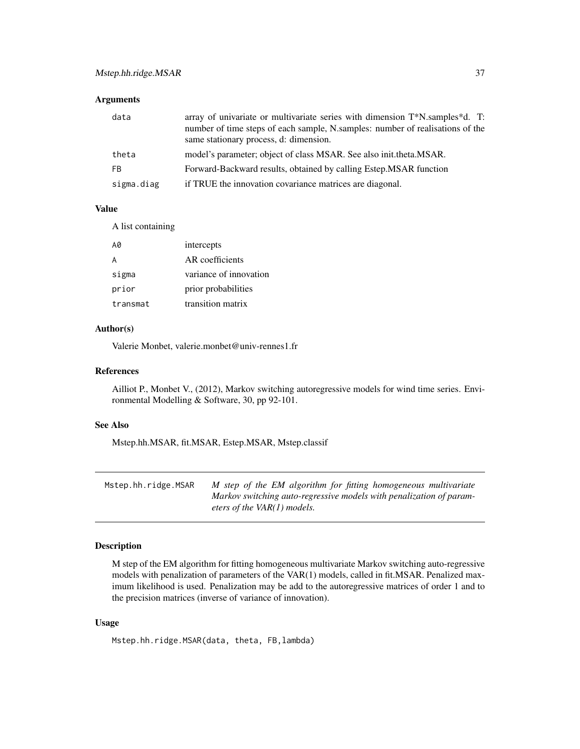<span id="page-36-0"></span>

| data       | array of univariate or multivariate series with dimension T*N.samples*d. T:<br>number of time steps of each sample, N.samples: number of realisations of the<br>same stationary process, d: dimension. |
|------------|--------------------------------------------------------------------------------------------------------------------------------------------------------------------------------------------------------|
| theta      | model's parameter; object of class MSAR. See also init.theta.MSAR.                                                                                                                                     |
| FB.        | Forward-Backward results, obtained by calling Estep. MSAR function                                                                                                                                     |
| sigma.diag | if TRUE the innovation covariance matrices are diagonal.                                                                                                                                               |

# Value

A list containing

| A0       | intercepts             |
|----------|------------------------|
| А        | AR coefficients        |
| sigma    | variance of innovation |
| prior    | prior probabilities    |
| transmat | transition matrix      |

# Author(s)

Valerie Monbet, valerie.monbet@univ-rennes1.fr

#### References

Ailliot P., Monbet V., (2012), Markov switching autoregressive models for wind time series. Environmental Modelling & Software, 30, pp 92-101.

# See Also

Mstep.hh.MSAR, fit.MSAR, Estep.MSAR, Mstep.classif

| Mstep.hh.ridge.MSAR | M step of the EM algorithm for fitting homogeneous multivariate     |
|---------------------|---------------------------------------------------------------------|
|                     | Markov switching auto-regressive models with penalization of param- |
|                     | eters of the VAR(1) models.                                         |

# Description

M step of the EM algorithm for fitting homogeneous multivariate Markov switching auto-regressive models with penalization of parameters of the VAR(1) models, called in fit.MSAR. Penalized maximum likelihood is used. Penalization may be add to the autoregressive matrices of order 1 and to the precision matrices (inverse of variance of innovation).

#### Usage

Mstep.hh.ridge.MSAR(data, theta, FB,lambda)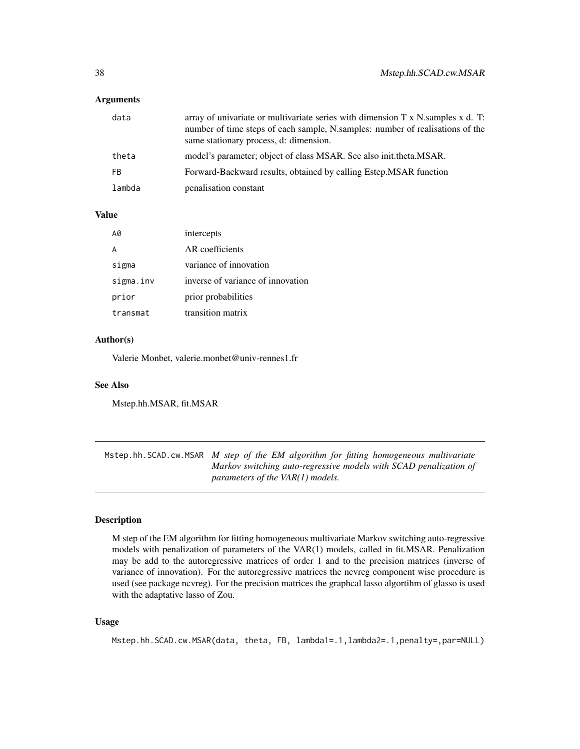<span id="page-37-0"></span>

| data   | array of univariate or multivariate series with dimension $T \times N$ . Samples $x \, d$ . T:<br>number of time steps of each sample, N.samples: number of realisations of the<br>same stationary process, d: dimension. |
|--------|---------------------------------------------------------------------------------------------------------------------------------------------------------------------------------------------------------------------------|
| theta  | model's parameter; object of class MSAR. See also init.theta.MSAR.                                                                                                                                                        |
| FB.    | Forward-Backward results, obtained by calling Estep. MSAR function                                                                                                                                                        |
| lambda | penalisation constant                                                                                                                                                                                                     |
|        |                                                                                                                                                                                                                           |

#### Value

| Α0        | intercepts                        |
|-----------|-----------------------------------|
|           | AR coefficients                   |
| sigma     | variance of innovation            |
| sigma.inv | inverse of variance of innovation |
| prior     | prior probabilities               |
| transmat  | transition matrix                 |

#### Author(s)

Valerie Monbet, valerie.monbet@univ-rennes1.fr

# See Also

Mstep.hh.MSAR, fit.MSAR

Mstep.hh.SCAD.cw.MSAR *M step of the EM algorithm for fitting homogeneous multivariate Markov switching auto-regressive models with SCAD penalization of parameters of the VAR(1) models.*

# Description

M step of the EM algorithm for fitting homogeneous multivariate Markov switching auto-regressive models with penalization of parameters of the VAR(1) models, called in fit.MSAR. Penalization may be add to the autoregressive matrices of order 1 and to the precision matrices (inverse of variance of innovation). For the autoregressive matrices the ncvreg component wise procedure is used (see package ncvreg). For the precision matrices the graphcal lasso algortihm of glasso is used with the adaptative lasso of Zou.

#### Usage

```
Mstep.hh.SCAD.cw.MSAR(data, theta, FB, lambda1=.1,lambda2=.1,penalty=,par=NULL)
```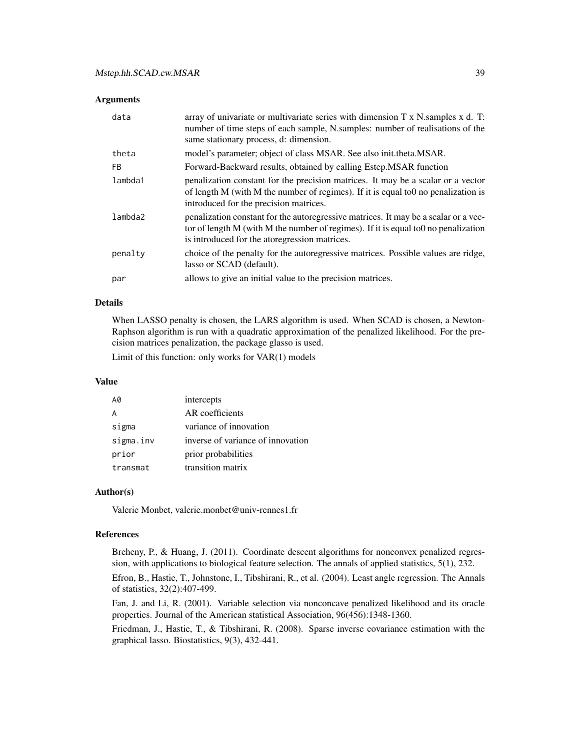| data    | array of univariate or multivariate series with dimension T x N samples x d. T:<br>number of time steps of each sample, N.samples: number of realisations of the<br>same stationary process, d: dimension.                      |
|---------|---------------------------------------------------------------------------------------------------------------------------------------------------------------------------------------------------------------------------------|
| theta   | model's parameter; object of class MSAR. See also init.theta.MSAR.                                                                                                                                                              |
| FB.     | Forward-Backward results, obtained by calling Estep. MSAR function                                                                                                                                                              |
| lambda1 | penalization constant for the precision matrices. It may be a scalar or a vector<br>of length M (with M the number of regimes). If it is equal to 0 no penalization is<br>introduced for the precision matrices.                |
| lambda2 | penalization constant for the autoregressive matrices. It may be a scalar or a vec-<br>tor of length $M$ (with $M$ the number of regimes). If it is equal to 0 no penalization<br>is introduced for the atoregression matrices. |
| penalty | choice of the penalty for the autoregressive matrices. Possible values are ridge,<br>lasso or SCAD (default).                                                                                                                   |
| par     | allows to give an initial value to the precision matrices.                                                                                                                                                                      |

### Details

When LASSO penalty is chosen, the LARS algorithm is used. When SCAD is chosen, a Newton-Raphson algorithm is run with a quadratic approximation of the penalized likelihood. For the precision matrices penalization, the package glasso is used.

Limit of this function: only works for VAR(1) models

#### Value

| A0        | intercepts                        |
|-----------|-----------------------------------|
|           | AR coefficients                   |
| sigma     | variance of innovation            |
| sigma.inv | inverse of variance of innovation |
| prior     | prior probabilities               |
| transmat  | transition matrix                 |

#### Author(s)

Valerie Monbet, valerie.monbet@univ-rennes1.fr

#### References

Breheny, P., & Huang, J. (2011). Coordinate descent algorithms for nonconvex penalized regression, with applications to biological feature selection. The annals of applied statistics, 5(1), 232.

Efron, B., Hastie, T., Johnstone, I., Tibshirani, R., et al. (2004). Least angle regression. The Annals of statistics, 32(2):407-499.

Fan, J. and Li, R. (2001). Variable selection via nonconcave penalized likelihood and its oracle properties. Journal of the American statistical Association, 96(456):1348-1360.

Friedman, J., Hastie, T., & Tibshirani, R. (2008). Sparse inverse covariance estimation with the graphical lasso. Biostatistics, 9(3), 432-441.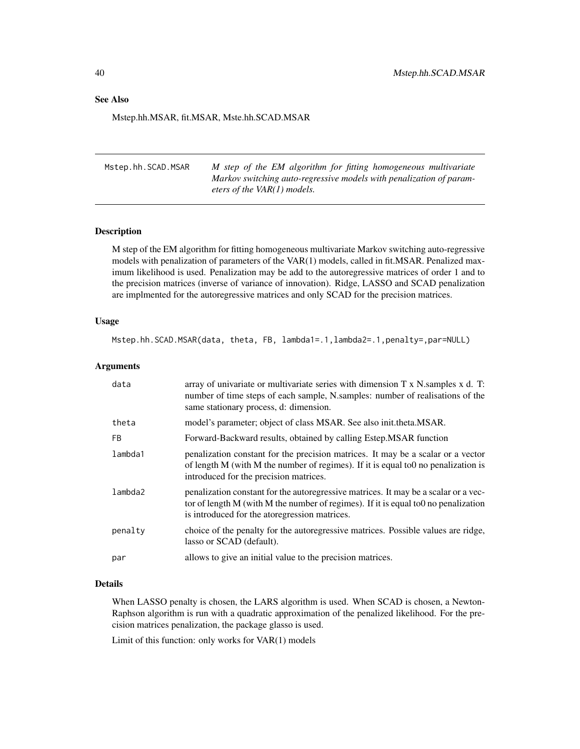#### <span id="page-39-0"></span>See Also

Mstep.hh.MSAR, fit.MSAR, Mste.hh.SCAD.MSAR

Mstep.hh.SCAD.MSAR *M step of the EM algorithm for fitting homogeneous multivariate Markov switching auto-regressive models with penalization of parameters of the VAR(1) models.*

#### Description

M step of the EM algorithm for fitting homogeneous multivariate Markov switching auto-regressive models with penalization of parameters of the VAR(1) models, called in fit.MSAR. Penalized maximum likelihood is used. Penalization may be add to the autoregressive matrices of order 1 and to the precision matrices (inverse of variance of innovation). Ridge, LASSO and SCAD penalization are implmented for the autoregressive matrices and only SCAD for the precision matrices.

#### Usage

Mstep.hh.SCAD.MSAR(data, theta, FB, lambda1=.1,lambda2=.1,penalty=,par=NULL)

#### Arguments

| data    | array of univariate or multivariate series with dimension T x N samples x d. T:<br>number of time steps of each sample, N.samples: number of realisations of the<br>same stationary process, d: dimension.                    |
|---------|-------------------------------------------------------------------------------------------------------------------------------------------------------------------------------------------------------------------------------|
| theta   | model's parameter; object of class MSAR. See also init.theta.MSAR.                                                                                                                                                            |
| FB.     | Forward-Backward results, obtained by calling Estep.MSAR function                                                                                                                                                             |
| lambda1 | penalization constant for the precision matrices. It may be a scalar or a vector<br>of length M (with M the number of regimes). If it is equal to 0 no penalization is<br>introduced for the precision matrices.              |
| lambda2 | penalization constant for the autoregressive matrices. It may be a scalar or a vec-<br>tor of length M (with M the number of regimes). If it is equal to $0$ no penalization<br>is introduced for the atoregression matrices. |
| penalty | choice of the penalty for the autoregressive matrices. Possible values are ridge,<br>lasso or SCAD (default).                                                                                                                 |
| par     | allows to give an initial value to the precision matrices.                                                                                                                                                                    |

#### Details

When LASSO penalty is chosen, the LARS algorithm is used. When SCAD is chosen, a Newton-Raphson algorithm is run with a quadratic approximation of the penalized likelihood. For the precision matrices penalization, the package glasso is used.

Limit of this function: only works for VAR(1) models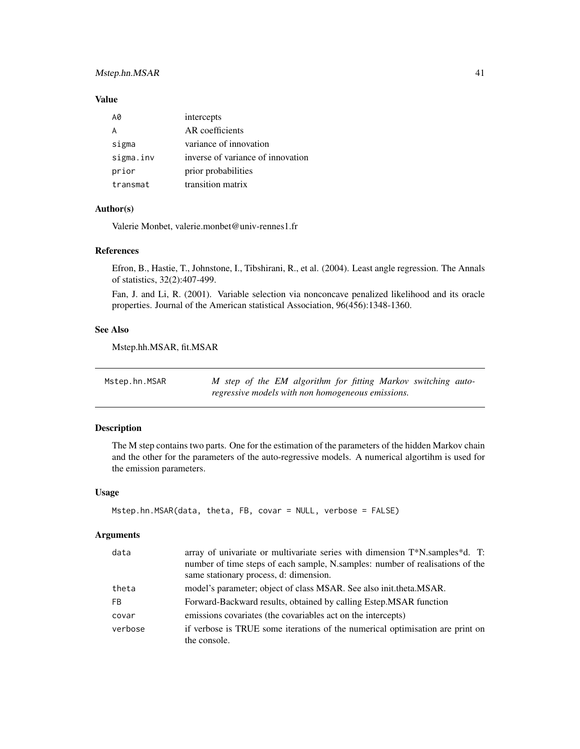# <span id="page-40-0"></span>Mstep.hn.MSAR 41

# Value

| AØ.       | intercepts                        |
|-----------|-----------------------------------|
| A         | AR coefficients                   |
| sigma     | variance of innovation            |
| sigma.inv | inverse of variance of innovation |
| prior     | prior probabilities               |
| transmat  | transition matrix                 |

# Author(s)

Valerie Monbet, valerie.monbet@univ-rennes1.fr

#### References

Efron, B., Hastie, T., Johnstone, I., Tibshirani, R., et al. (2004). Least angle regression. The Annals of statistics, 32(2):407-499.

Fan, J. and Li, R. (2001). Variable selection via nonconcave penalized likelihood and its oracle properties. Journal of the American statistical Association, 96(456):1348-1360.

#### See Also

Mstep.hh.MSAR, fit.MSAR

| Mstep.hn.MSAR | M step of the EM algorithm for fitting Markov switching auto- |  |  |  |
|---------------|---------------------------------------------------------------|--|--|--|
|               | regressive models with non homogeneous emissions.             |  |  |  |

# Description

The M step contains two parts. One for the estimation of the parameters of the hidden Markov chain and the other for the parameters of the auto-regressive models. A numerical algortihm is used for the emission parameters.

#### Usage

```
Mstep.hn.MSAR(data, theta, FB, covar = NULL, verbose = FALSE)
```
#### Arguments

| data    | array of univariate or multivariate series with dimension T*N.samples*d. T:<br>number of time steps of each sample, N.samples: number of realisations of the |
|---------|--------------------------------------------------------------------------------------------------------------------------------------------------------------|
|         | same stationary process, d: dimension.                                                                                                                       |
| theta   | model's parameter; object of class MSAR. See also initiate that MSAR.                                                                                        |
| FB.     | Forward-Backward results, obtained by calling Estep. MSAR function                                                                                           |
| covar   | emissions covariates (the covariables act on the intercepts)                                                                                                 |
| verbose | if verbose is TRUE some iterations of the numerical optimisation are print on                                                                                |
|         | the console.                                                                                                                                                 |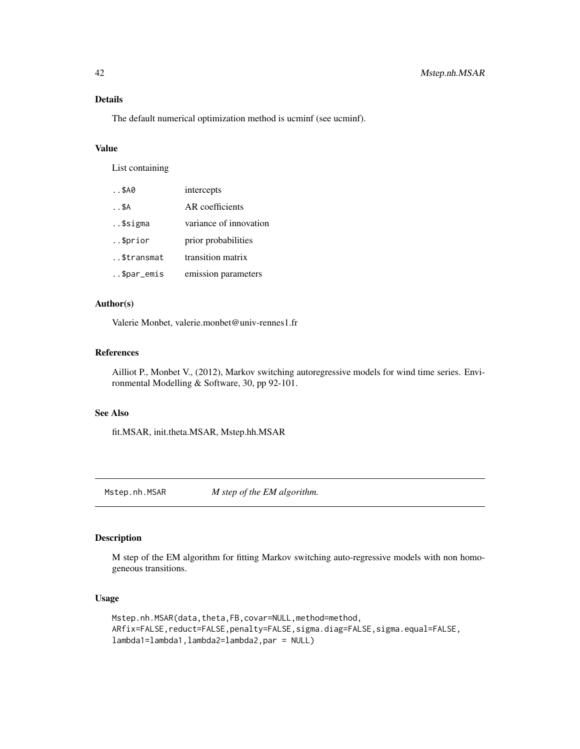#### <span id="page-41-0"></span>Details

The default numerical optimization method is ucminf (see ucminf).

#### Value

List containing

| $. .$ \$A0   | intercepts             |
|--------------|------------------------|
| $. .$ \$ $A$ | AR coefficients        |
| \$sigma      | variance of innovation |
| \$prior      | prior probabilities    |
| \$transmat   | transition matrix      |
| \$par_emis   | emission parameters    |

# Author(s)

Valerie Monbet, valerie.monbet@univ-rennes1.fr

#### References

Ailliot P., Monbet V., (2012), Markov switching autoregressive models for wind time series. Environmental Modelling & Software, 30, pp 92-101.

#### See Also

fit.MSAR, init.theta.MSAR, Mstep.hh.MSAR

Mstep.nh.MSAR *M step of the EM algorithm.*

# Description

M step of the EM algorithm for fitting Markov switching auto-regressive models with non homogeneous transitions.

# Usage

```
Mstep.nh.MSAR(data,theta,FB,covar=NULL,method=method,
ARfix=FALSE,reduct=FALSE,penalty=FALSE,sigma.diag=FALSE,sigma.equal=FALSE,
lambda1=lambda1,lambda2=lambda2,par = NULL)
```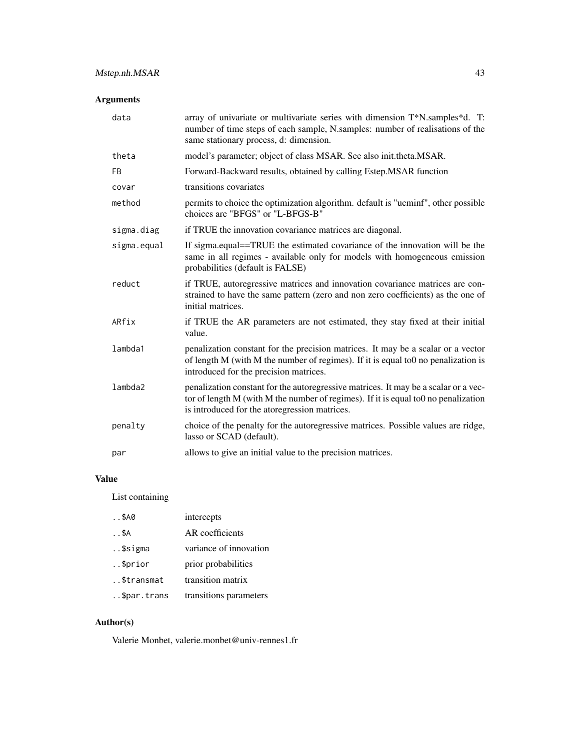| data        | array of univariate or multivariate series with dimension T*N.samples*d. T:<br>number of time steps of each sample, N.samples: number of realisations of the<br>same stationary process, d: dimension.                          |
|-------------|---------------------------------------------------------------------------------------------------------------------------------------------------------------------------------------------------------------------------------|
| theta       | model's parameter; object of class MSAR. See also init.theta.MSAR.                                                                                                                                                              |
| <b>FB</b>   | Forward-Backward results, obtained by calling Estep.MSAR function                                                                                                                                                               |
| covar       | transitions covariates                                                                                                                                                                                                          |
| method      | permits to choice the optimization algorithm. default is "ucminf", other possible<br>choices are "BFGS" or "L-BFGS-B"                                                                                                           |
| sigma.diag  | if TRUE the innovation covariance matrices are diagonal.                                                                                                                                                                        |
| sigma.equal | If sigma.equal==TRUE the estimated covariance of the innovation will be the<br>same in all regimes - available only for models with homogeneous emission<br>probabilities (default is FALSE)                                    |
| reduct      | if TRUE, autoregressive matrices and innovation covariance matrices are con-<br>strained to have the same pattern (zero and non zero coefficients) as the one of<br>initial matrices.                                           |
| ARfix       | if TRUE the AR parameters are not estimated, they stay fixed at their initial<br>value.                                                                                                                                         |
| lambda1     | penalization constant for the precision matrices. It may be a scalar or a vector<br>of length M (with M the number of regimes). If it is equal to 0 no penalization is<br>introduced for the precision matrices.                |
| lambda2     | penalization constant for the autoregressive matrices. It may be a scalar or a vec-<br>tor of length $M$ (with $M$ the number of regimes). If it is equal to 0 no penalization<br>is introduced for the atoregression matrices. |
| penalty     | choice of the penalty for the autoregressive matrices. Possible values are ridge,<br>lasso or SCAD (default).                                                                                                                   |
| par         | allows to give an initial value to the precision matrices.                                                                                                                                                                      |

# Value

List containing

| $. .$ \$A0   | intercepts             |
|--------------|------------------------|
| $. .$ \$ $A$ | AR coefficients        |
| \$sigma      | variance of innovation |
| \$prior      | prior probabilities    |
| \$transmat   | transition matrix      |
| \$par.trans  | transitions parameters |

# Author(s)

Valerie Monbet, valerie.monbet@univ-rennes1.fr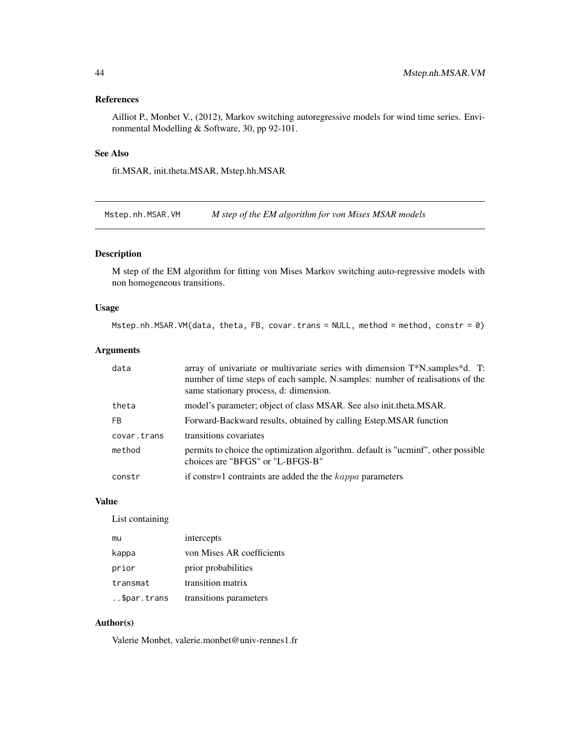# <span id="page-43-0"></span>References

Ailliot P., Monbet V., (2012), Markov switching autoregressive models for wind time series. Environmental Modelling & Software, 30, pp 92-101.

# See Also

fit.MSAR, init.theta.MSAR, Mstep.hh.MSAR

Mstep.nh.MSAR.VM *M step of the EM algorithm for von Mises MSAR models*

#### Description

M step of the EM algorithm for fitting von Mises Markov switching auto-regressive models with non homogeneous transitions.

#### Usage

Mstep.nh.MSAR.VM(data, theta, FB, covar.trans = NULL, method = method, constr = 0)

#### Arguments

| data        | array of univariate or multivariate series with dimension $T^*N$ . samples $d$ . T:<br>number of time steps of each sample, N.samples: number of realisations of the<br>same stationary process, d: dimension. |
|-------------|----------------------------------------------------------------------------------------------------------------------------------------------------------------------------------------------------------------|
| theta       | model's parameter; object of class MSAR. See also init.theta.MSAR.                                                                                                                                             |
| FB.         | Forward-Backward results, obtained by calling Estep. MSAR function                                                                                                                                             |
| covar.trans | transitions covariates                                                                                                                                                                                         |
| method      | permits to choice the optimization algorithm. default is "ucminf", other possible<br>choices are "BFGS" or "L-BFGS-B"                                                                                          |
| constr      | if constr=1 contraints are added the the $kappa$ parameters                                                                                                                                                    |

#### Value

List containing

| mu          | intercepts                |
|-------------|---------------------------|
| kappa       | von Mises AR coefficients |
| prior       | prior probabilities       |
| transmat    | transition matrix         |
| \$par.trans | transitions parameters    |

# Author(s)

Valerie Monbet, valerie.monbet@univ-rennes1.fr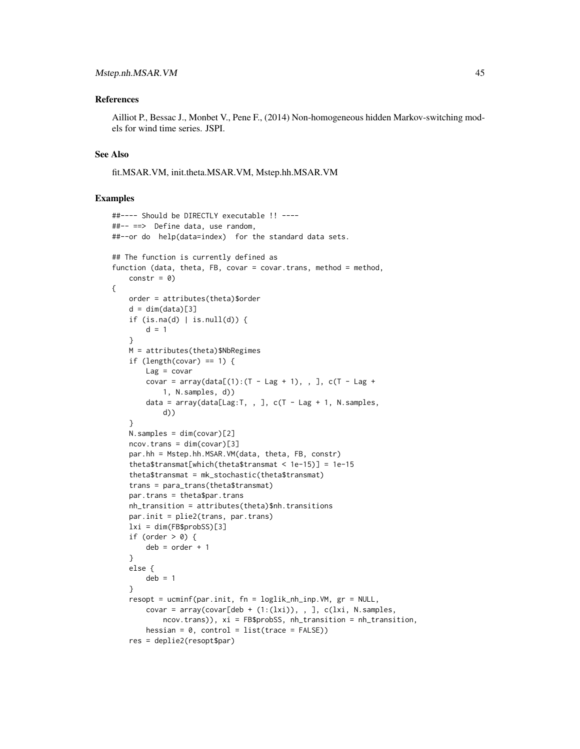#### References

Ailliot P., Bessac J., Monbet V., Pene F., (2014) Non-homogeneous hidden Markov-switching models for wind time series. JSPI.

#### See Also

fit.MSAR.VM, init.theta.MSAR.VM, Mstep.hh.MSAR.VM

#### Examples

```
##---- Should be DIRECTLY executable !! ----
##-- ==> Define data, use random,
##--or do help(data=index) for the standard data sets.
## The function is currently defined as
function (data, theta, FB, covar = covar.trans, method = method,
    constr = \emptyset)
{
   order = attributes(theta)$order
    d = dim(data)[3]if (is.na(d) | is.null(d)) {
       d = 1}
   M = attributes(theta)$NbRegimes
    if (length(covar) == 1) {
       Lag = covarcovar = array(data[(1):(T - Lag + 1), , ], c(T - Lag +1, N.samples, d))
       data = array(data[Lag:T, , ], c(T - Lag + 1, N.samples,d))
    }
   N.samples = dim(covar)[2]
   ncov.trans = dim(covar)[3]par.hh = Mstep.hh.MSAR.VM(data, theta, FB, constr)
    theta$transmat[which(theta$transmat < 1e-15)] = 1e-15
    theta$transmat = mk_stochastic(theta$transmat)
    trans = para_trans(theta$transmat)
   par.trans = theta$par.trans
   nh_transition = attributes(theta)$nh.transitions
   par.init = plie2(trans, par.trans)
   lxi = dim(FB$probSS)[3]
    if (order > 0) {
       deb = order + 1
    }
   else {
       deb = 1}
    resopt = ucminf(par.init, fn = loglik_nh_inp.VM, gr = NULL,
       covar = array(covar[deb + (1:(lxi)), , ], c(lxi, N.samples,
            ncov.trans)), xi = FB$probSS, nh_transition = nh_transition,
       hessian = 0, control = list(trace = FALSE))
    res = deplie2(resopt$par)
```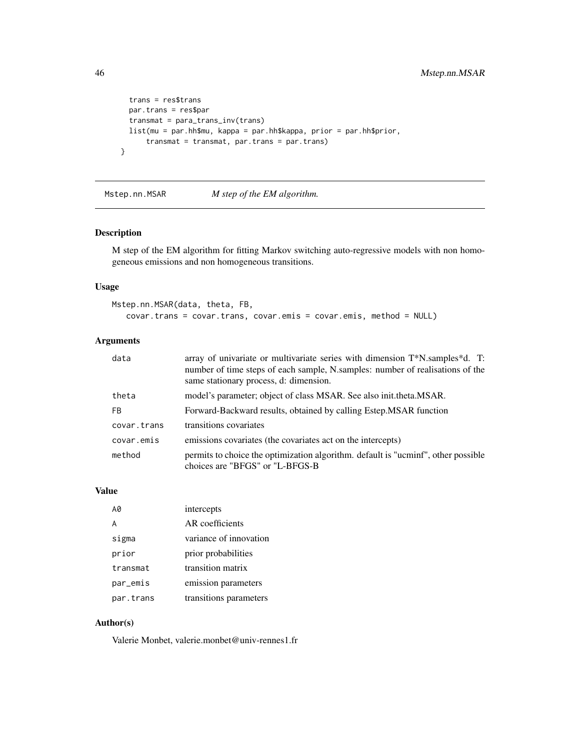```
trans = res$trans
 par.trans = res$par
  transmat = para_trans_inv(trans)
 list(mu = par.hh$mu, kappa = par.hh$kappa, prior = par.hh$prior,
     transmat = transmat, par.trans = par.trans)
}
```
Mstep.nn.MSAR *M step of the EM algorithm.*

# Description

M step of the EM algorithm for fitting Markov switching auto-regressive models with non homogeneous emissions and non homogeneous transitions.

#### Usage

```
Mstep.nn.MSAR(data, theta, FB,
   covar.trans = covar.trans, covar.emis = covar.emis, method = NULL)
```
# Arguments

| data        | array of univariate or multivariate series with dimension T*N.samples*d. T:<br>number of time steps of each sample, N.samples: number of realisations of the<br>same stationary process, d: dimension. |
|-------------|--------------------------------------------------------------------------------------------------------------------------------------------------------------------------------------------------------|
| theta       | model's parameter; object of class MSAR. See also init.theta.MSAR.                                                                                                                                     |
| FB.         | Forward-Backward results, obtained by calling Estep. MSAR function                                                                                                                                     |
| covar.trans | transitions covariates                                                                                                                                                                                 |
| covar.emis  | emissions covariates (the covariates act on the intercepts)                                                                                                                                            |
| method      | permits to choice the optimization algorithm. default is "ucminf", other possible<br>choices are "BFGS" or "L-BFGS-B"                                                                                  |

#### Value

| AØ        | intercepts             |
|-----------|------------------------|
| A         | AR coefficients        |
| sigma     | variance of innovation |
| prior     | prior probabilities    |
| transmat  | transition matrix      |
| par_emis  | emission parameters    |
| par.trans | transitions parameters |

# Author(s)

Valerie Monbet, valerie.monbet@univ-rennes1.fr

<span id="page-45-0"></span>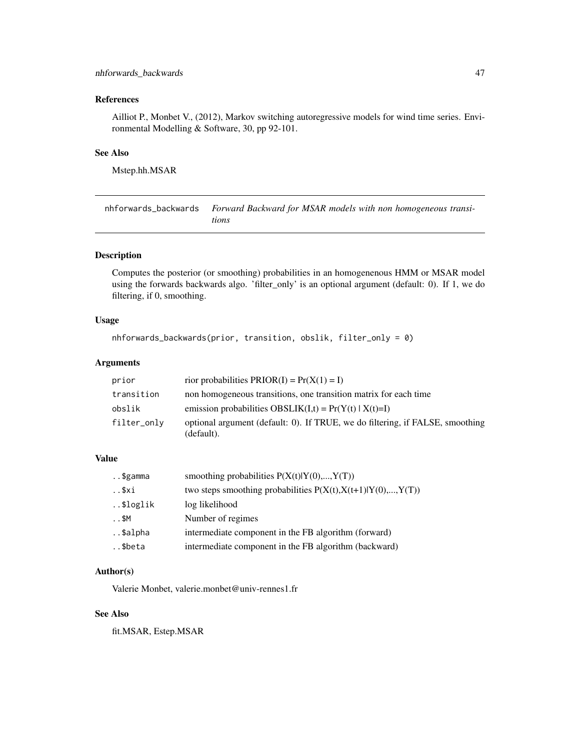# <span id="page-46-0"></span>References

Ailliot P., Monbet V., (2012), Markov switching autoregressive models for wind time series. Environmental Modelling & Software, 30, pp 92-101.

# See Also

Mstep.hh.MSAR

nhforwards\_backwards *Forward Backward for MSAR models with non homogeneous transitions*

# Description

Computes the posterior (or smoothing) probabilities in an homogenenous HMM or MSAR model using the forwards backwards algo. 'filter\_only' is an optional argument (default: 0). If 1, we do filtering, if 0, smoothing.

#### Usage

```
nhforwards_backwards(prior, transition, obslik, filter_only = 0)
```
#### Arguments

| prior       | rior probabilities $PRIOR(I) = Pr(X(1) = I)$                                                |
|-------------|---------------------------------------------------------------------------------------------|
| transition  | non homogeneous transitions, one transition matrix for each time                            |
| obslik      | emission probabilities OBSLIK $(I,t) = Pr(Y(t)   X(t)=I)$                                   |
| filter_only | optional argument (default: 0). If TRUE, we do filtering, if FALSE, smoothing<br>(default). |

# Value

| \$gamma  | smoothing probabilities $P(X(t) Y(0),,Y(T))$                    |
|----------|-----------------------------------------------------------------|
| \$xi     | two steps smoothing probabilities $P(X(t), X(t+1) Y(0),, Y(T))$ |
| \$loglik | log likelihood                                                  |
| $. .$ SM | Number of regimes                                               |
| \$alpha  | intermediate component in the FB algorithm (forward)            |
| \$beta   | intermediate component in the FB algorithm (backward)           |

#### Author(s)

Valerie Monbet, valerie.monbet@univ-rennes1.fr

# See Also

fit.MSAR, Estep.MSAR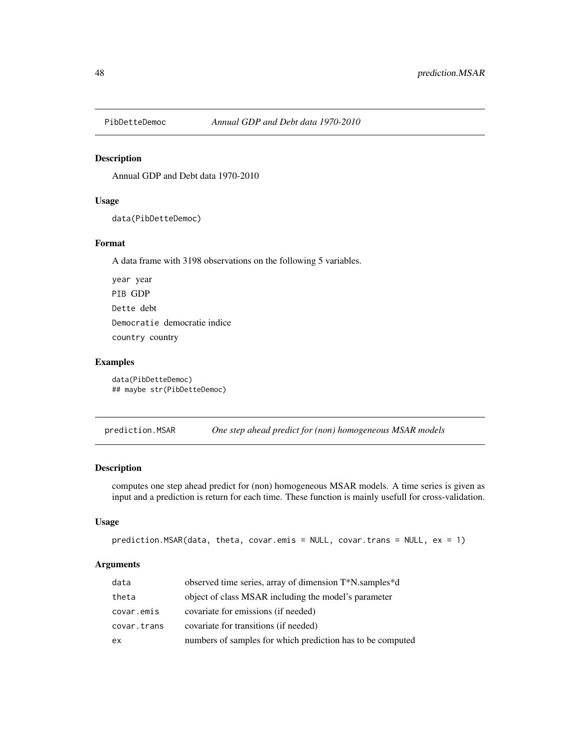<span id="page-47-0"></span>

# Description

Annual GDP and Debt data 1970-2010

#### Usage

data(PibDetteDemoc)

#### Format

A data frame with 3198 observations on the following 5 variables.

year year PIB GDP Dette debt Democratie democratie indice country country

#### Examples

data(PibDetteDemoc) ## maybe str(PibDetteDemoc)

prediction.MSAR *One step ahead predict for (non) homogeneous MSAR models*

#### Description

computes one step ahead predict for (non) homogeneous MSAR models. A time series is given as input and a prediction is return for each time. These function is mainly usefull for cross-validation.

#### Usage

```
prediction.MSAR(data, theta, covar.emis = NULL, covar.trans = NULL, ex = 1)
```
#### Arguments

| data        | observed time series, array of dimension T*N.samples*d     |
|-------------|------------------------------------------------------------|
| theta       | object of class MSAR including the model's parameter       |
| covar.emis  | covariate for emissions (if needed)                        |
| covar.trans | covariate for transitions (if needed)                      |
| ex          | numbers of samples for which prediction has to be computed |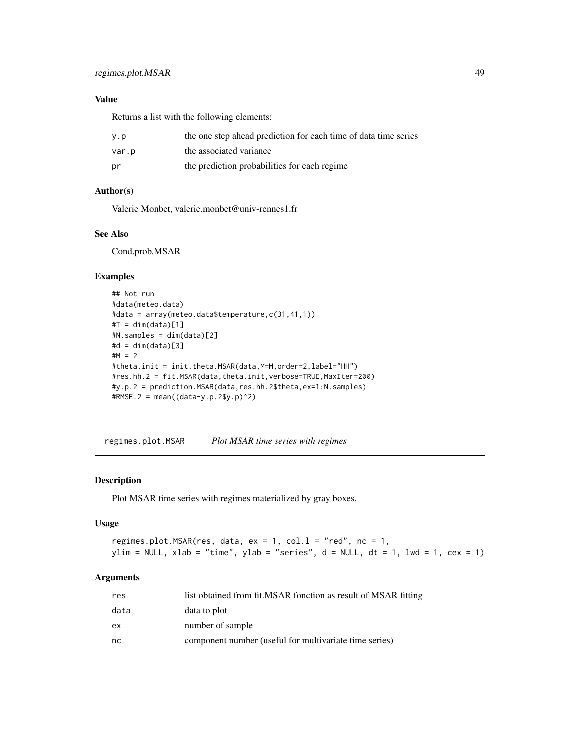# <span id="page-48-0"></span>Value

Returns a list with the following elements:

| y.p   | the one step ahead prediction for each time of data time series |
|-------|-----------------------------------------------------------------|
| var.p | the associated variance                                         |
| pr    | the prediction probabilities for each regime                    |

# Author(s)

Valerie Monbet, valerie.monbet@univ-rennes1.fr

# See Also

Cond.prob.MSAR

# Examples

```
## Not run
#data(meteo.data)
#data = array(meteo.data$temperature,c(31,41,1))
#T = dim(data)[1]#N.samples = dim(data)[2]
#d = dim(data)[3]HM = 2#theta.init = init.theta.MSAR(data,M=M,order=2,label="HH")
#res.hh.2 = fit.MSAR(data,theta.init,verbose=TRUE,MaxIter=200)
#y.p.2 = prediction.MSAR(data,res.hh.2$theta,ex=1:N.samples)
#RMSE.2 = mean((data-y.p.2$y.p)^2)
```
regimes.plot.MSAR *Plot MSAR time series with regimes*

#### Description

Plot MSAR time series with regimes materialized by gray boxes.

#### Usage

```
regimes.plot.MSAR(res, data, ex = 1, col.1 = "red", nc = 1,
ylim = NULL, xlab = "time", ylab = "series", d = NULL, dt = 1, lwd = 1, cex = 1)
```
# Arguments

| res  | list obtained from fit.MSAR fonction as result of MSAR fitting |
|------|----------------------------------------------------------------|
| data | data to plot                                                   |
| ex   | number of sample                                               |
| nc   | component number (useful for multivariate time series)         |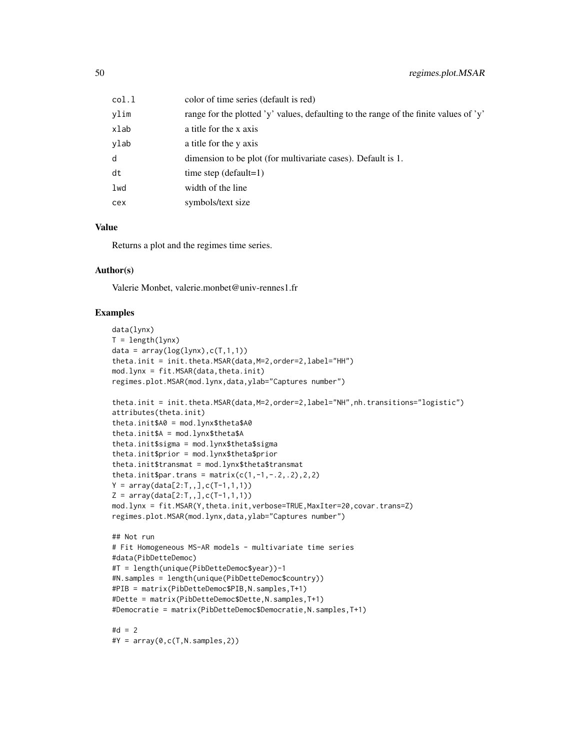| col.l | color of time series (default is red)                                                 |
|-------|---------------------------------------------------------------------------------------|
| vlim  | range for the plotted 'y' values, defaulting to the range of the finite values of 'y' |
| xlab  | a title for the x axis                                                                |
| vlab  | a title for the y axis                                                                |
| d     | dimension to be plot (for multivariate cases). Default is 1.                          |
| dt    | time step $(detault=1)$                                                               |
| lwd   | width of the line                                                                     |
| cex   | symbols/text size                                                                     |
|       |                                                                                       |

#### Value

Returns a plot and the regimes time series.

# Author(s)

Valerie Monbet, valerie.monbet@univ-rennes1.fr

# Examples

```
data(lynx)
T = length(1ynx)data = array(log(lynx), c(T, 1, 1))theta.init = init.theta.MSAR(data, M=2, order=2, label="HH")
mod.lynx = fit.MSAR(data,theta.init)
regimes.plot.MSAR(mod.lynx,data,ylab="Captures number")
theta.init = init.theta.MSAR(data,M=2,order=2,label="NH",nh.transitions="logistic")
attributes(theta.init)
theta.init$A0 = mod.lynx$theta$A0
theta.init$A = mod.lynx$theta$A
theta.init$sigma = mod.lynx$theta$sigma
theta.init$prior = mod.lynx$theta$prior
theta.init$transmat = mod.lynx$theta$transmat
theta.init$par.trans = matrix(c(1,-1,-.2,.2),2,2)Y = array(data[2:T, 1, 0; (T-1, 1, 1))Z = array(data[2:T, 1, 0; C(T-1, 1, 1))mod.lynx = fit.MSAR(Y,theta.init,verbose=TRUE,MaxIter=20,covar.trans=Z)
regimes.plot.MSAR(mod.lynx,data,ylab="Captures number")
## Not run
# Fit Homogeneous MS-AR models - multivariate time series
#data(PibDetteDemoc)
#T = length(unique(PibDetteDemoc$year))-1
#N.samples = length(unique(PibDetteDemoc$country))
#PIB = matrix(PibDetteDemoc$PIB,N.samples,T+1)
#Dette = matrix(PibDetteDemoc$Dette,N.samples,T+1)
#Democratie = matrix(PibDetteDemoc$Democratie,N.samples,T+1)
#d = 2#Y = array(0,c(T,N.samples,2))
```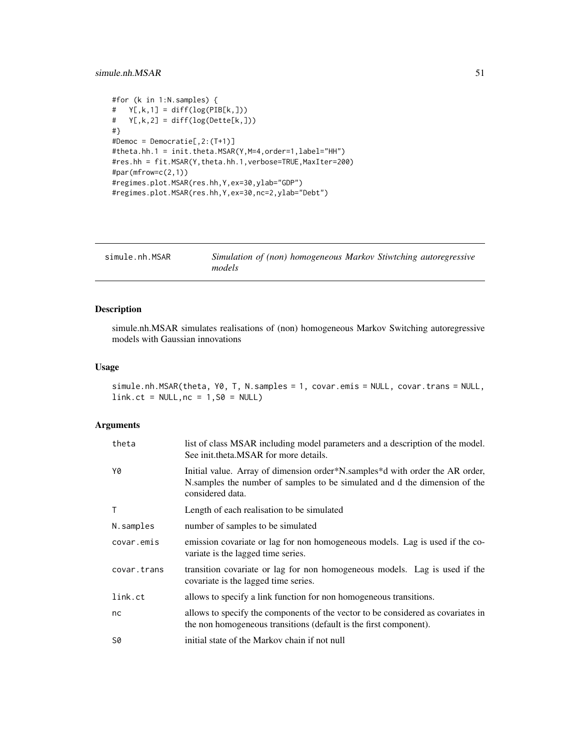#### <span id="page-50-0"></span>simule.nh.MSAR 51

```
#for (k in 1:N.samples) {
# Y[, k, 1] = diff(log(PIB[k,]))# Y[, k, 2] = diff(log(Dette[k,]))#}
#Democ = Democratie[,2:(T+1)]
#theta.hh.1 = init.theta.MSAR(Y,M=4,order=1,label="HH")
#res.hh = fit.MSAR(Y,theta.hh.1,verbose=TRUE,MaxIter=200)
#par(mfrow=c(2,1))
#regimes.plot.MSAR(res.hh,Y,ex=30,ylab="GDP")
#regimes.plot.MSAR(res.hh,Y,ex=30,nc=2,ylab="Debt")
```

| simule.nh.MSAR | Simulation of (non) homogeneous Markov Stiwtching autoregressive |  |  |
|----------------|------------------------------------------------------------------|--|--|
|                | models                                                           |  |  |

# Description

simule.nh.MSAR simulates realisations of (non) homogeneous Markov Switching autoregressive models with Gaussian innovations

#### Usage

```
simule.nh.MSAR(theta, Y0, T, N.samples = 1, covar.emis = NULL, covar.trans = NULL,
link.ct = NULL, nc = 1, S0 = NULL)
```
# Arguments

| theta       | list of class MSAR including model parameters and a description of the model.<br>See init.theta.MSAR for more details.                                                         |
|-------------|--------------------------------------------------------------------------------------------------------------------------------------------------------------------------------|
| Y0          | Initial value. Array of dimension order*N.samples*d with order the AR order,<br>N.samples the number of samples to be simulated and d the dimension of the<br>considered data. |
| T           | Length of each realisation to be simulated                                                                                                                                     |
| N.samples   | number of samples to be simulated                                                                                                                                              |
| covar.emis  | emission covariate or lag for non homogeneous models. Lag is used if the co-<br>variate is the lagged time series.                                                             |
| covar.trans | transition covariate or lag for non homogeneous models. Lag is used if the<br>covariate is the lagged time series.                                                             |
| link.ct     | allows to specify a link function for non homogeneous transitions.                                                                                                             |
| nc          | allows to specify the components of the vector to be considered as covariates in<br>the non homogeneous transitions (default is the first component).                          |
| S0          | initial state of the Markov chain if not null                                                                                                                                  |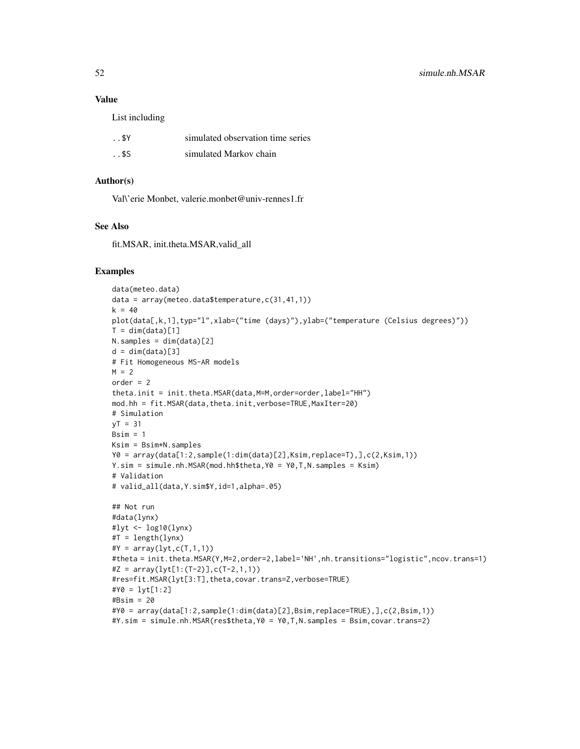#### Value

List including

| \$Y       | simulated observation time series |
|-----------|-----------------------------------|
| $. .$ \$S | simulated Markov chain            |

# Author(s)

Val\'erie Monbet, valerie.monbet@univ-rennes1.fr

#### See Also

fit.MSAR, init.theta.MSAR,valid\_all

#### Examples

```
data(meteo.data)
data = array(meteo.data$temperature,c(31,41,1))
k = 40plot(data[,k,1],typ="l",xlab=("time (days)"),ylab=("temperature (Celsius degrees)"))
T = dim(data)[1]N.samples = dim(data)[2]
d = dim(data)[3]# Fit Homogeneous MS-AR models
M = 2order = 2
theta.init = init.theta.MSAR(data, M=M, order=order, label="HH")
mod.hh = fit.MSAR(data,theta.init,verbose=TRUE,MaxIter=20)
# Simulation
yT = 31Bsim = 1Ksim = Bsim*N.samples
Y0 = array(data[1:2,sample(1:dim(data)[2],Ksim,replace=T),],c(2,Ksim,1))
Y.sim = simule.nh.MSAR(mod.hh$theta,Y0 = Y0,T,N.samples = Ksim)
# Validation
# valid_all(data,Y.sim$Y,id=1,alpha=.05)
## Not run
#data(lynx)
#lyt <- log10(lynx)
#T = length(lynx)
#Y = array(lyt, c(T, 1, 1))#theta = init.theta.MSAR(Y,M=2,order=2,label='NH',nh.transitions="logistic",ncov.trans=1)
#Z = array(lyt[1:(T-2)], c(T-2,1,1))#res=fit.MSAR(lyt[3:T],theta,covar.trans=Z,verbose=TRUE)
#Y0 = lyt[1:2]
#Bsim = 20
#Y0 = array(data[1:2,sample(1:dim(data)[2],Bsim,replace=TRUE),],c(2,Bsim,1))
```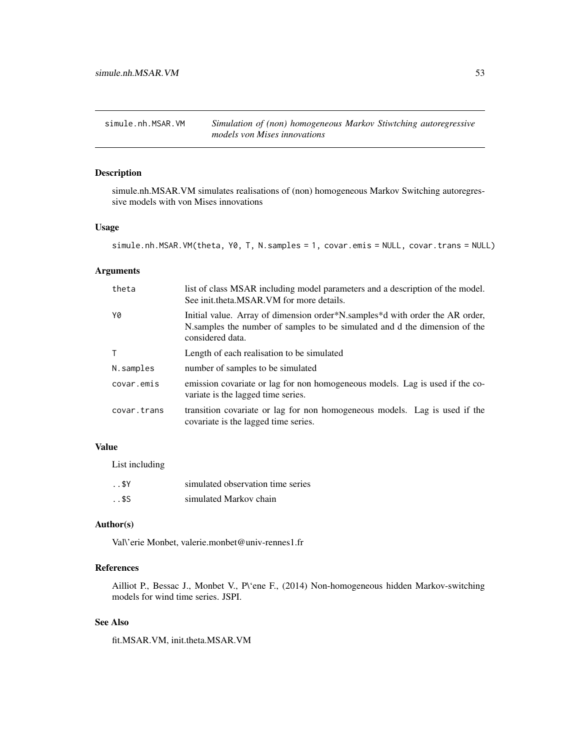<span id="page-52-0"></span>simule.nh.MSAR.VM *Simulation of (non) homogeneous Markov Stiwtching autoregressive models von Mises innovations*

# Description

simule.nh.MSAR.VM simulates realisations of (non) homogeneous Markov Switching autoregressive models with von Mises innovations

#### Usage

```
simule.nh.MSAR.VM(theta, Y0, T, N.samples = 1, covar.emis = NULL, covar.trans = NULL)
```
# Arguments

| theta        | list of class MSAR including model parameters and a description of the model.<br>See init.theta.MSAR.VM for more details.                                                      |
|--------------|--------------------------------------------------------------------------------------------------------------------------------------------------------------------------------|
| Y0           | Initial value. Array of dimension order*N.samples*d with order the AR order,<br>N.samples the number of samples to be simulated and d the dimension of the<br>considered data. |
| $\mathsf{T}$ | Length of each realisation to be simulated                                                                                                                                     |
| N.samples    | number of samples to be simulated                                                                                                                                              |
| covar.emis   | emission covariate or lag for non homogeneous models. Lag is used if the co-<br>variate is the lagged time series.                                                             |
| covar.trans  | transition covariate or lag for non homogeneous models. Lag is used if the<br>covariate is the lagged time series.                                                             |

# Value

List including

| \$Y     | simulated observation time series |
|---------|-----------------------------------|
| $.$ \$S | simulated Markov chain            |

# Author(s)

Val\'erie Monbet, valerie.monbet@univ-rennes1.fr

# References

Ailliot P., Bessac J., Monbet V., P\'ene F., (2014) Non-homogeneous hidden Markov-switching models for wind time series. JSPI.

# See Also

fit.MSAR.VM, init.theta.MSAR.VM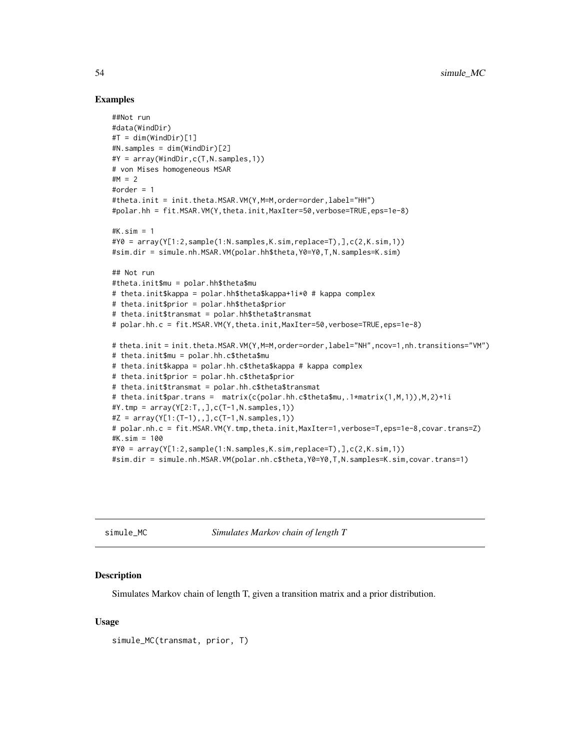#### Examples

```
##Not run
#data(WindDir)
#T = dim(WindDir)[1]#N.samples = dim(WindDir)[2]
#Y = array(WindDir,c(T,N.samples,1))
# von Mises homogeneous MSAR
HM = 2#order = 1
#theta.init = init.theta.MSAR.VM(Y,M=M,order=order,label="HH")
#polar.hh = fit.MSAR.VM(Y,theta.init,MaxIter=50,verbose=TRUE,eps=1e-8)
#K.sim = 1
\#Y0 = array(Y[1:2, sample(1:N.samples, K.sim, replace=T), J, c(2,K,sim,1))#sim.dir = simule.nh.MSAR.VM(polar.hh$theta,Y0=Y0,T,N.samples=K.sim)
## Not run
#theta.init$mu = polar.hh$theta$mu
# theta.init$kappa = polar.hh$theta$kappa+1i*0 # kappa complex
# theta.init$prior = polar.hh$theta$prior
# theta.init$transmat = polar.hh$theta$transmat
# polar.hh.c = fit.MSAR.VM(Y,theta.init,MaxIter=50,verbose=TRUE,eps=1e-8)
# theta.init = init.theta.MSAR.VM(Y,M=M,order=order,label="NH",ncov=1,nh.transitions="VM")
# theta.init$mu = polar.hh.c$theta$mu
# theta.init$kappa = polar.hh.c$theta$kappa # kappa complex
# theta.init$prior = polar.hh.c$theta$prior
# theta.init$transmat = polar.hh.c$theta$transmat
# theta.init$par.trans = matrix(c(polar.hh.c$theta$mu,.1*matrix(1,M,1)),M,2)+1i
#Y.tmp = array(Y[2:T,,],c(T-1,N.samples,1))
#Z = array(Y[1:(T-1),], C(T-1,N.samples,1))# polar.nh.c = fit.MSAR.VM(Y.tmp,theta.init,MaxIter=1,verbose=T,eps=1e-8,covar.trans=Z)
#K.sim = 100
\#Y0 = array(Y[1:2, sample(1:N, samples, K, sim, replace=T), J, c(2,K, sim,1))#sim.dir = simule.nh.MSAR.VM(polar.nh.c$theta,Y0=Y0,T,N.samples=K.sim,covar.trans=1)
```
simule\_MC *Simulates Markov chain of length T*

#### **Description**

Simulates Markov chain of length T, given a transition matrix and a prior distribution.

#### Usage

```
simule_MC(transmat, prior, T)
```
<span id="page-53-0"></span>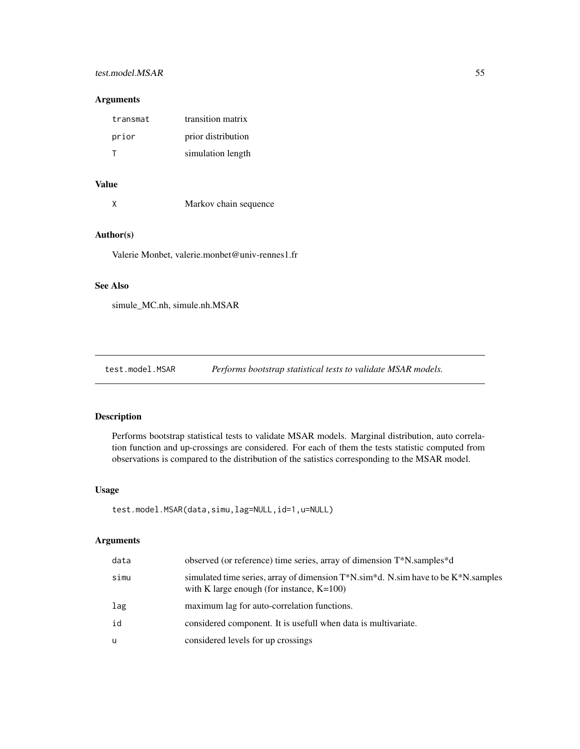# <span id="page-54-0"></span>test.model.MSAR 55

#### Arguments

| transmat | transition matrix  |
|----------|--------------------|
| prior    | prior distribution |
|          | simulation length  |

# Value

X Markov chain sequence

# Author(s)

Valerie Monbet, valerie.monbet@univ-rennes1.fr

# See Also

simule\_MC.nh, simule.nh.MSAR

test.model.MSAR *Performs bootstrap statistical tests to validate MSAR models.*

#### Description

Performs bootstrap statistical tests to validate MSAR models. Marginal distribution, auto correlation function and up-crossings are considered. For each of them the tests statistic computed from observations is compared to the distribution of the satistics corresponding to the MSAR model.

#### Usage

```
test.model.MSAR(data,simu,lag=NULL,id=1,u=NULL)
```
# Arguments

| data | observed (or reference) time series, array of dimension T*N.samples*d                                                                                  |
|------|--------------------------------------------------------------------------------------------------------------------------------------------------------|
| simu | simulated time series, array of dimension $T^*N$ .sim <sup>*</sup> d. N.sim have to be $K^*N$ .samples<br>with K large enough (for instance, $K=100$ ) |
| lag  | maximum lag for auto-correlation functions.                                                                                                            |
| id   | considered component. It is usefull when data is multivariate.                                                                                         |
| u    | considered levels for up crossings                                                                                                                     |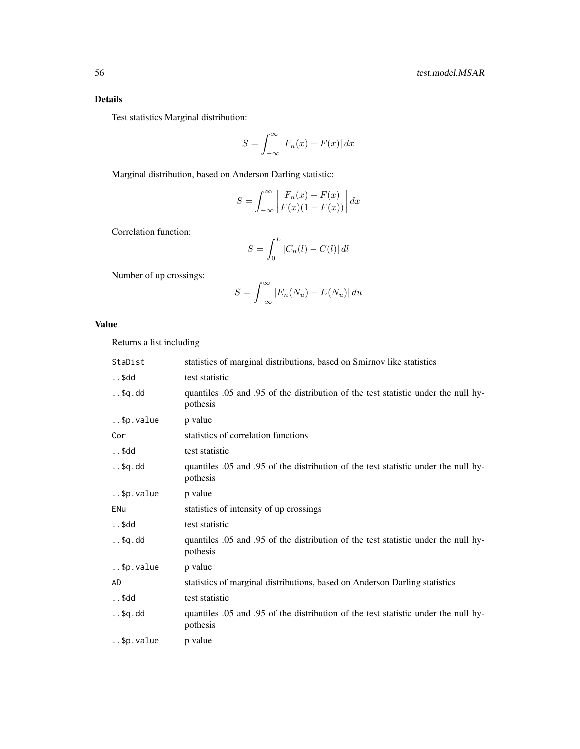# Details

Test statistics Marginal distribution:

$$
S = \int_{-\infty}^{\infty} |F_n(x) - F(x)| dx
$$

Marginal distribution, based on Anderson Darling statistic:

$$
S = \int_{-\infty}^{\infty} \left| \frac{F_n(x) - F(x)}{F(x)(1 - F(x))} \right| dx
$$

Correlation function:

$$
S = \int_0^L |C_n(l) - C(l)| \, dl
$$

Number of up crossings:

$$
S = \int_{-\infty}^{\infty} |E_n(N_u) - E(N_u)| \, du
$$

# Value

Returns a list including

| StaDist      | statistics of marginal distributions, based on Smirnov like statistics                           |
|--------------|--------------------------------------------------------------------------------------------------|
| \$dd         | test statistic                                                                                   |
| $. .$ \$q.dd | quantiles .05 and .95 of the distribution of the test statistic under the null hy-<br>pothesis   |
| \$p.value    | p value                                                                                          |
| Cor          | statistics of correlation functions                                                              |
| \$dd         | test statistic                                                                                   |
| $. .$ \$q.dd | quantiles 0.05 and 0.95 of the distribution of the test statistic under the null hy-<br>pothesis |
| \$p.value    | p value                                                                                          |
| ENu          | statistics of intensity of up crossings                                                          |
| \$dd         | test statistic                                                                                   |
| $. .$ \$q.dd | quantiles .05 and .95 of the distribution of the test statistic under the null hy-<br>pothesis   |
| \$p.value    | p value                                                                                          |
| AD           | statistics of marginal distributions, based on Anderson Darling statistics                       |
| \$dd         | test statistic                                                                                   |
| $. .$ \$q.dd | quantiles 0.05 and 0.95 of the distribution of the test statistic under the null hy-<br>pothesis |
| \$p.value    | p value                                                                                          |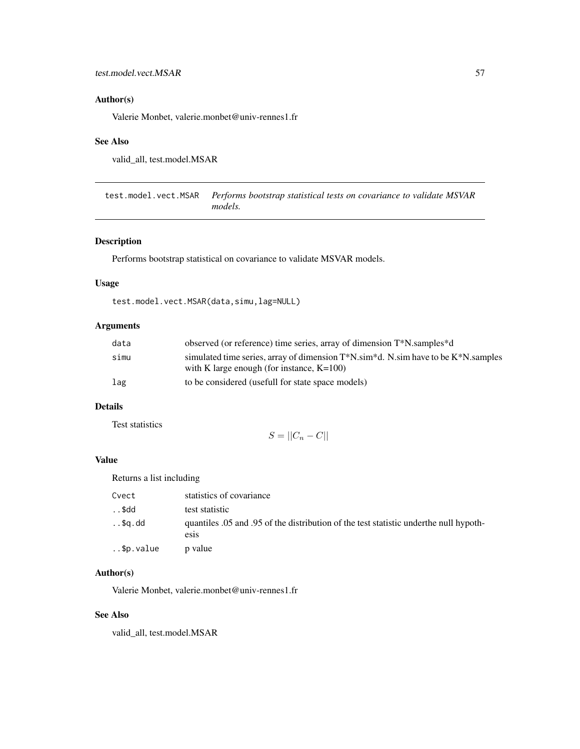# <span id="page-56-0"></span>Author(s)

Valerie Monbet, valerie.monbet@univ-rennes1.fr

# See Also

valid\_all, test.model.MSAR

test.model.vect.MSAR *Performs bootstrap statistical tests on covariance to validate MSVAR models.*

# Description

Performs bootstrap statistical on covariance to validate MSVAR models.

#### Usage

test.model.vect.MSAR(data,simu,lag=NULL)

# Arguments

| data | observed (or reference) time series, array of dimension T*N, samples *d                                                                    |
|------|--------------------------------------------------------------------------------------------------------------------------------------------|
| simu | simulated time series, array of dimension $T^*N$ .sim *d. N.sim have to be $K^*N$ .samples<br>with K large enough (for instance, $K=100$ ) |
| lag  | to be considered (usefull for state space models)                                                                                          |

# Details

Test statistics

$$
S = ||C_n - C||
$$

# Value

Returns a list including

| Cvect     | statistics of covariance                                                                                      |
|-----------|---------------------------------------------------------------------------------------------------------------|
| \$dd      | test statistic                                                                                                |
| \$a.dd    | quantiles 0.05 and 0.95 of the distribution of the test statistic under the null hypoth-<br>es <sub>1</sub> s |
| \$p.value | p value                                                                                                       |

# Author(s)

Valerie Monbet, valerie.monbet@univ-rennes1.fr

# See Also

valid\_all, test.model.MSAR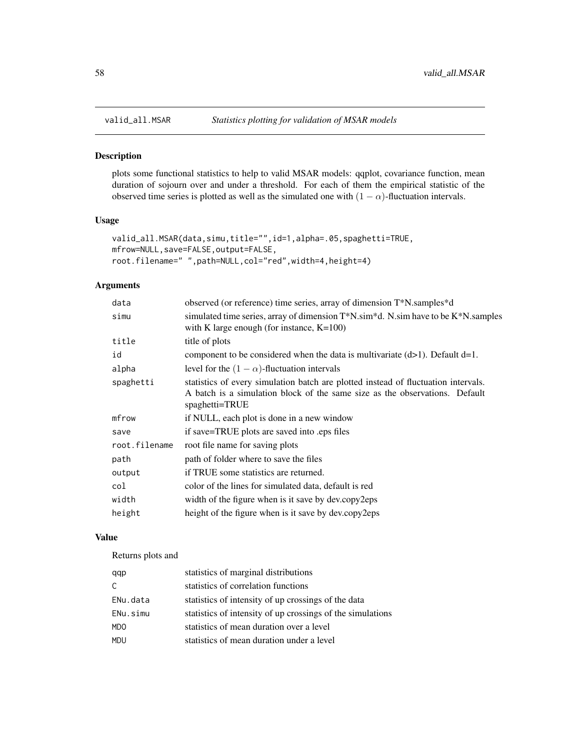<span id="page-57-0"></span>

# Description

plots some functional statistics to help to valid MSAR models: qqplot, covariance function, mean duration of sojourn over and under a threshold. For each of them the empirical statistic of the observed time series is plotted as well as the simulated one with  $(1 - \alpha)$ -fluctuation intervals.

#### Usage

```
valid_all.MSAR(data,simu,title="",id=1,alpha=.05,spaghetti=TRUE,
mfrow=NULL,save=FALSE,output=FALSE,
root.filename=" ",path=NULL,col="red",width=4,height=4)
```
# Arguments

| data          | observed (or reference) time series, array of dimension T*N.samples*d                                                                                                               |
|---------------|-------------------------------------------------------------------------------------------------------------------------------------------------------------------------------------|
| simu          | simulated time series, array of dimension $T^*N$ .sim *d. N.sim have to be $K^*N$ .samples<br>with K large enough (for instance, $K=100$ )                                          |
| title         | title of plots                                                                                                                                                                      |
| id            | component to be considered when the data is multivariate $(d>1)$ . Default $d=1$ .                                                                                                  |
| alpha         | level for the $(1 - \alpha)$ -fluctuation intervals                                                                                                                                 |
| spaghetti     | statistics of every simulation batch are plotted instead of fluctuation intervals.<br>A batch is a simulation block of the same size as the observations. Default<br>spaghetti=TRUE |
| mfrow         | if NULL, each plot is done in a new window                                                                                                                                          |
| save          | if save=TRUE plots are saved into eps files                                                                                                                                         |
| root.filename | root file name for saving plots                                                                                                                                                     |
| path          | path of folder where to save the files                                                                                                                                              |
| output        | if TRUE some statistics are returned.                                                                                                                                               |
| col           | color of the lines for simulated data, default is red                                                                                                                               |
| width         | width of the figure when is it save by dev.copy2eps                                                                                                                                 |
| height        | height of the figure when is it save by dev.copy2eps                                                                                                                                |

# Value

Returns plots and

| qqp          | statistics of marginal distributions                       |
|--------------|------------------------------------------------------------|
| $\mathsf{C}$ | statistics of correlation functions                        |
| ENu.data     | statistics of intensity of up crossings of the data        |
| ENu.simu     | statistics of intensity of up crossings of the simulations |
| <b>MDO</b>   | statistics of mean duration over a level                   |
| <b>MDU</b>   | statistics of mean duration under a level                  |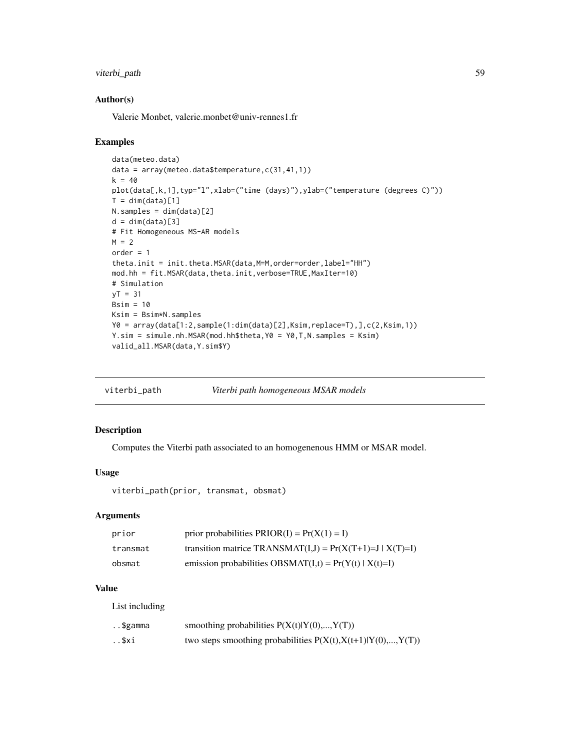# <span id="page-58-0"></span>viterbi\_path 59

#### Author(s)

Valerie Monbet, valerie.monbet@univ-rennes1.fr

#### Examples

```
data(meteo.data)
data = array(meteo.data$temperature,c(31,41,1))
k = 40plot(data[,k,1],typ="l",xlab=("time (days)"),ylab=("temperature (degrees C)"))
T = dim(data)[1]N.samples = dim(data)[2]
d = dim(data)[3]# Fit Homogeneous MS-AR models
M = 2order = 1
theta.init = init.theta.MSAR(data, M=M, order=order, label="HH")
mod.hh = fit.MSAR(data,theta.init,verbose=TRUE,MaxIter=10)
# Simulation
yT = 31Bsim = 10Ksim = Bsim*N.samples
Y0 = array(data[1:2,sample(1:dim(data)[2],Ksim,replace=T),],c(2,Ksim,1))
Y.sim = simule.nh.MSAR(mod.hh$theta,Y0 = Y0,T,N.samples = Ksim)
valid_all.MSAR(data,Y.sim$Y)
```

| viterbi_path | Viterbi path homogeneous MSAR models |  |
|--------------|--------------------------------------|--|
|--------------|--------------------------------------|--|

#### Description

Computes the Viterbi path associated to an homogenenous HMM or MSAR model.

# Usage

viterbi\_path(prior, transmat, obsmat)

# Arguments

| prior    | prior probabilities $PRIOR(I) = Pr(X(1) = I)$              |
|----------|------------------------------------------------------------|
| transmat | transition matrice TRANSMAT(I,J) = $Pr(X(T+1)=J   X(T)=I)$ |
| obsmat   | emission probabilities OBSMAT(I,t) = $Pr(Y(t)   X(t)=I)$   |

# Value

List including

| \$gamma | smoothing probabilities $P(X(t) Y(0),,Y(T))$                    |
|---------|-----------------------------------------------------------------|
| \$xi    | two steps smoothing probabilities $P(X(t), X(t+1) Y(0),, Y(T))$ |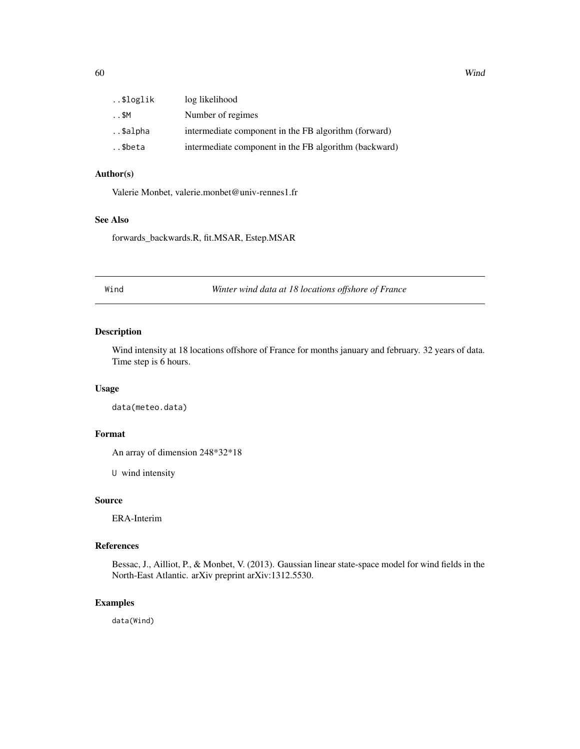<span id="page-59-0"></span>

| \$loglik | log likelihood                                        |
|----------|-------------------------------------------------------|
| \$M      | Number of regimes                                     |
| \$alpha  | intermediate component in the FB algorithm (forward)  |
| \$beta   | intermediate component in the FB algorithm (backward) |

#### Author(s)

Valerie Monbet, valerie.monbet@univ-rennes1.fr

#### See Also

forwards\_backwards.R, fit.MSAR, Estep.MSAR

Wind *Winter wind data at 18 locations offshore of France*

# Description

Wind intensity at 18 locations offshore of France for months january and february. 32 years of data. Time step is 6 hours.

# Usage

data(meteo.data)

# Format

An array of dimension 248\*32\*18

U wind intensity

#### Source

ERA-Interim

# References

Bessac, J., Ailliot, P., & Monbet, V. (2013). Gaussian linear state-space model for wind fields in the North-East Atlantic. arXiv preprint arXiv:1312.5530.

# Examples

data(Wind)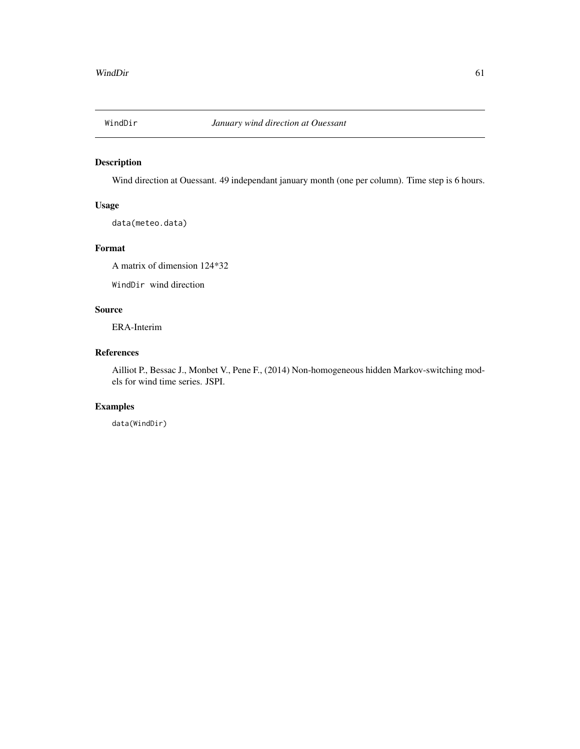<span id="page-60-0"></span>

# Description

Wind direction at Ouessant. 49 independant january month (one per column). Time step is 6 hours.

# Usage

data(meteo.data)

# Format

A matrix of dimension 124\*32

WindDir wind direction

# Source

ERA-Interim

# References

Ailliot P., Bessac J., Monbet V., Pene F., (2014) Non-homogeneous hidden Markov-switching models for wind time series. JSPI.

# Examples

data(WindDir)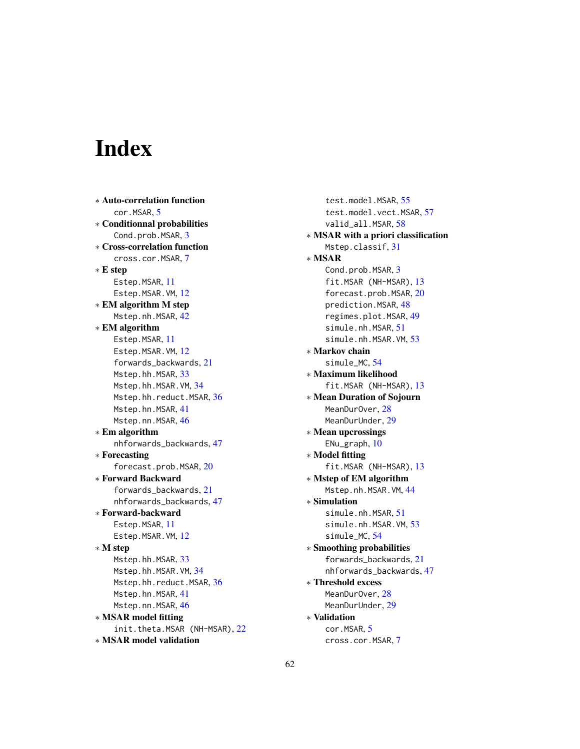# <span id="page-61-0"></span>Index

∗ Auto-correlation function cor.MSAR, [5](#page-4-0) ∗ Conditionnal probabilities Cond.prob.MSAR, [3](#page-2-0) ∗ Cross-correlation function cross.cor.MSAR, [7](#page-6-0) ∗ E step Estep.MSAR, [11](#page-10-0) Estep.MSAR.VM, [12](#page-11-0) ∗ EM algorithm M step Mstep.nh.MSAR, [42](#page-41-0) ∗ EM algorithm Estep.MSAR, [11](#page-10-0) Estep.MSAR.VM, [12](#page-11-0) forwards\_backwards, [21](#page-20-0) Mstep.hh.MSAR, [33](#page-32-0) Mstep.hh.MSAR.VM, [34](#page-33-0) Mstep.hh.reduct.MSAR, [36](#page-35-0) Mstep.hn.MSAR, [41](#page-40-0) Mstep.nn.MSAR, [46](#page-45-0) ∗ Em algorithm nhforwards\_backwards, [47](#page-46-0) ∗ Forecasting forecast.prob.MSAR, [20](#page-19-0) ∗ Forward Backward forwards\_backwards, [21](#page-20-0) nhforwards\_backwards, [47](#page-46-0) ∗ Forward-backward Estep.MSAR, [11](#page-10-0) Estep.MSAR.VM, [12](#page-11-0) ∗ M step Mstep.hh.MSAR, [33](#page-32-0) Mstep.hh.MSAR.VM, [34](#page-33-0) Mstep.hh.reduct.MSAR, [36](#page-35-0) Mstep.hn.MSAR, [41](#page-40-0) Mstep.nn.MSAR, [46](#page-45-0) ∗ MSAR model fitting init.theta.MSAR (NH-MSAR), [22](#page-21-0) ∗ MSAR model validation

test.model.MSAR, [55](#page-54-0) test.model.vect.MSAR, [57](#page-56-0) valid\_all.MSAR, [58](#page-57-0) ∗ MSAR with a priori classification Mstep.classif, [31](#page-30-0) ∗ MSAR Cond.prob.MSAR, [3](#page-2-0) fit.MSAR (NH-MSAR), [13](#page-12-0) forecast.prob.MSAR, [20](#page-19-0) prediction.MSAR, [48](#page-47-0) regimes.plot.MSAR, [49](#page-48-0) simule.nh.MSAR, [51](#page-50-0) simule.nh.MSAR.VM, [53](#page-52-0) ∗ Markov chain simule\_MC, [54](#page-53-0) ∗ Maximum likelihood fit.MSAR (NH-MSAR), [13](#page-12-0) ∗ Mean Duration of Sojourn MeanDur<sub>Over</sub>, [28](#page-27-0) MeanDurUnder, [29](#page-28-0) ∗ Mean upcrossings ENu\_graph, [10](#page-9-0) ∗ Model fitting fit.MSAR (NH-MSAR), [13](#page-12-0) ∗ Mstep of EM algorithm Mstep.nh.MSAR.VM, [44](#page-43-0) ∗ Simulation simule.nh.MSAR, [51](#page-50-0) simule.nh.MSAR.VM, [53](#page-52-0) simule\_MC, [54](#page-53-0) ∗ Smoothing probabilities forwards\_backwards, [21](#page-20-0) nhforwards\_backwards, [47](#page-46-0) ∗ Threshold excess MeanDurOver, [28](#page-27-0) MeanDurUnder, [29](#page-28-0) ∗ Validation cor.MSAR, [5](#page-4-0) cross.cor.MSAR, [7](#page-6-0)